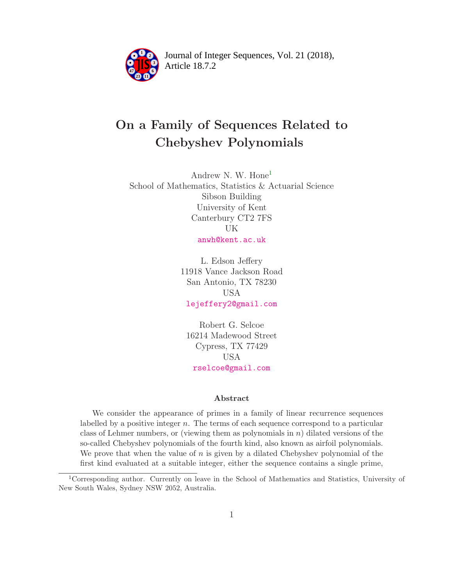

Article 18.7.2 **<sup>2</sup>** Journal of Integer Sequences, Vol. 21 (2018),

# On a Family of Sequences Related to Chebyshev Polynomials

Andrew N. W. Hone[1](#page-0-0) School of Mathematics, Statistics & Actuarial Science Sibson Building University of Kent Canterbury CT2 7FS UK [anwh@kent.ac.uk](mailto:anwh@kent.ac.uk)

> L. Edson Jeffery 11918 Vance Jackson Road San Antonio, TX 78230 USA [lejeffery2@gmail.com](mailto:lejeffery2@gmail.com)

Robert G. Selcoe 16214 Madewood Street Cypress, TX 77429 USA [rselcoe@gmail.com](mailto:rselcoe@gmail.com)

#### Abstract

We consider the appearance of primes in a family of linear recurrence sequences labelled by a positive integer n. The terms of each sequence correspond to a particular class of Lehmer numbers, or (viewing them as polynomials in  $n$ ) dilated versions of the so-called Chebyshev polynomials of the fourth kind, also known as airfoil polynomials. We prove that when the value of  $n$  is given by a dilated Chebyshev polynomial of the first kind evaluated at a suitable integer, either the sequence contains a single prime,

<span id="page-0-0"></span><sup>1</sup>Corresponding author. Currently on leave in the School of Mathematics and Statistics, University of New South Wales, Sydney NSW 2052, Australia.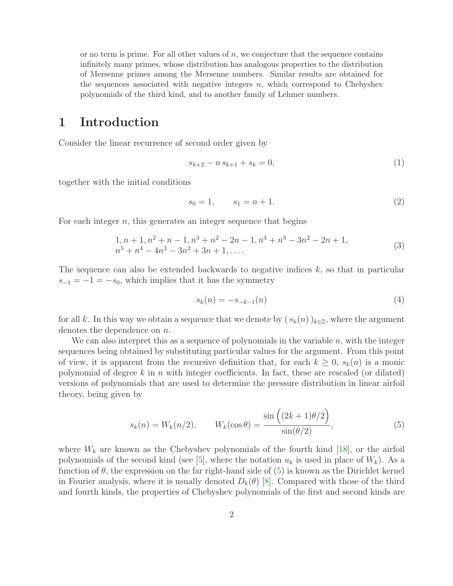or no term is prime. For all other values of  $n$ , we conjecture that the sequence contains infinitely many primes, whose distribution has analogous properties to the distribution of Mersenne primes among the Mersenne numbers. Similar results are obtained for the sequences associated with negative integers  $n$ , which correspond to Chebyshev polynomials of the third kind, and to another family of Lehmer numbers.

### 1 Introduction

Consider the linear recurrence of second order given by

<span id="page-1-2"></span><span id="page-1-1"></span>
$$
s_{k+2} - n s_{k+1} + s_k = 0,\t\t(1)
$$

together with the initial conditions

$$
s_0 = 1, \qquad s_1 = n + 1. \tag{2}
$$

For each integer  $n$ , this generates an integer sequence that begins

$$
1, n+1, n^2+n-1, n^3+n^2-2n-1, n^4+n^3-3n^2-2n+1, n^5+n^4-4n^3-3n^2+3n+1, ....
$$
\n(3)

The sequence can also be extended backwards to negative indices  $k$ , so that in particular  $s_{-1} = -1 = -s_0$ , which implies that it has the symmetry

<span id="page-1-3"></span>
$$
s_k(n) = -s_{-k-1}(n)
$$
\n(4)

for all k. In this way we obtain a sequence that we denote by  $(s_k(n))_{k\in\mathbb{Z}}$ , where the argument denotes the dependence on *n*.

We can also interpret this as a sequence of polynomials in the variable  $n$ , with the integer sequences being obtained by substituting particular values for the argument. From this point of view, it is apparent from the recursive definition that, for each  $k \geq 0$ ,  $s_k(n)$  is a monic polynomial of degree k in n with integer coefficients. In fact, these are rescaled (or dilated) versions of polynomials that are used to determine the pressure distribution in linear airfoil theory, being given by

<span id="page-1-0"></span>
$$
s_k(n) = W_k(n/2), \qquad W_k(\cos \theta) = \frac{\sin\left((2k+1)\theta/2\right)}{\sin(\theta/2)},\tag{5}
$$

where  $W_k$  are known as the Chebyshev polynomials of the fourth kind [\[18\]](#page-36-0), or the airfoil polynomials of the second kind (see [\[5\]](#page-35-0), where the notation  $u_k$  is used in place of  $W_k$ ). As a function of  $\theta$ , the expression on the far right-hand side of  $(5)$  is known as the Dirichlet kernel in Fourier analysis, where it is usually denoted  $D_k(\theta)$  [\[8\]](#page-35-1). Compared with those of the third and fourth kinds, the properties of Chebyshev polynomials of the first and second kinds are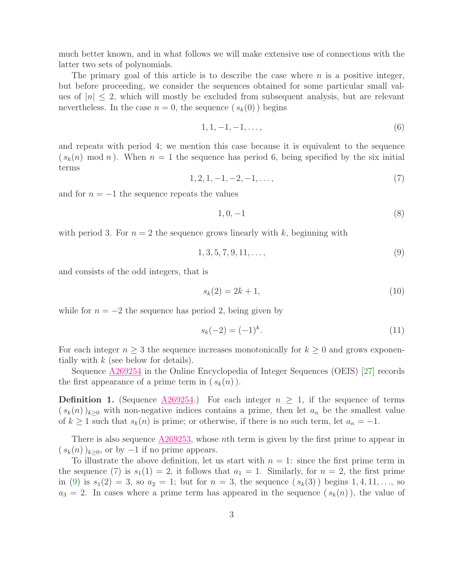much better known, and in what follows we will make extensive use of connections with the latter two sets of polynomials.

The primary goal of this article is to describe the case where  $n$  is a positive integer, but before proceeding, we consider the sequences obtained for some particular small values of  $|n| \leq 2$ , which will mostly be excluded from subsequent analysis, but are relevant nevertheless. In the case  $n = 0$ , the sequence  $(s_k(0))$  begins

$$
1, 1, -1, -1, \dots,\tag{6}
$$

<span id="page-2-0"></span>and repeats with period 4; we mention this case because it is equivalent to the sequence  $(s_k(n) \mod n)$ . When  $n = 1$  the sequence has period 6, being specified by the six initial terms

$$
1, 2, 1, -1, -2, -1, \dots,\tag{7}
$$

and for  $n = -1$  the sequence repeats the values

<span id="page-2-2"></span><span id="page-2-1"></span>
$$
1,0,-1
$$

with period 3. For  $n = 2$  the sequence grows linearly with k, beginning with

$$
1, 3, 5, 7, 9, 11, \dots,\tag{9}
$$

and consists of the odd integers, that is

<span id="page-2-4"></span><span id="page-2-3"></span>
$$
s_k(2) = 2k + 1,\t\t(10)
$$

while for  $n = -2$  the sequence has period 2, being given by

$$
s_k(-2) = (-1)^k.
$$
 (11)

For each integer  $n \geq 3$  the sequence increases monotonically for  $k \geq 0$  and grows exponentially with  $k$  (see below for details).

<span id="page-2-5"></span>Sequence [A269254](https://oeis.org/A269254) in the Online Encyclopedia of Integer Sequences (OEIS) [\[27\]](#page-36-1) records the first appearance of a prime term in  $(s_k(n))$ .

**Definition 1.** (Sequence  $\triangle 269254$ .) For each integer  $n \geq 1$ , if the sequence of terms  $(s_k(n))_{k\geq 0}$  with non-negative indices contains a prime, then let  $a_n$  be the smallest value of  $k \ge 1$  such that  $s_k(n)$  is prime; or otherwise, if there is no such term, let  $a_n = -1$ .

There is also sequence  $\triangle 269253$ , whose *n*th term is given by the first prime to appear in  $(s_k(n))_{k\geq0}$ , or by  $-1$  if no prime appears.

To illustrate the above definition, let us start with  $n = 1$ : since the first prime term in the sequence [\(7\)](#page-2-0) is  $s_1(1) = 2$ , it follows that  $a_1 = 1$ . Similarly, for  $n = 2$ , the first prime in [\(9\)](#page-2-1) is  $s_1(2) = 3$ , so  $a_2 = 1$ ; but for  $n = 3$ , the sequence  $(s_k(3))$  begins  $1, 4, 11, \ldots$ , so  $a_3 = 2$ . In cases where a prime term has appeared in the sequence  $(s_k(n))$ , the value of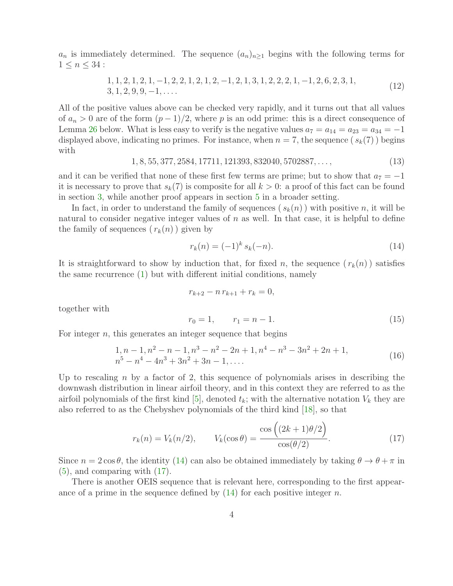$a_n$  is immediately determined. The sequence  $(a_n)_{n\geq 1}$  begins with the following terms for  $1 \leq n \leq 34$ :

<span id="page-3-3"></span>
$$
1, 1, 2, 1, 2, 1, -1, 2, 2, 1, 2, 1, 2, -1, 2, 1, 3, 1, 2, 2, 2, 1, -1, 2, 6, 2, 3, 1, 3, 1, 2, 9, 9, -1, \dots
$$
\n
$$
(12)
$$

All of the positive values above can be checked very rapidly, and it turns out that all values of  $a_n > 0$  are of the form  $(p-1)/2$ , where p is an odd prime: this is a direct consequence of Lemma [26](#page-17-0) below. What is less easy to verify is the negative values  $a_7 = a_{14} = a_{23} = a_{34} = -1$ displayed above, indicating no primes. For instance, when  $n = 7$ , the sequence  $(s_k(7))$  begins with

$$
1, 8, 55, 377, 2584, 17711, 121393, 832040, 5702887, \dots, \tag{13}
$$

<span id="page-3-4"></span>and it can be verified that none of these first few terms are prime; but to show that  $a_7 = -1$ it is necessary to prove that  $s_k(7)$  is composite for all  $k > 0$ : a proof of this fact can be found in section [3,](#page-9-0) while another proof appears in section [5](#page-20-0) in a broader setting.

In fact, in order to understand the family of sequences ( $s_k(n)$ ) with positive n, it will be natural to consider negative integer values of  $n$  as well. In that case, it is helpful to define the family of sequences  $(r_k(n))$  given by

<span id="page-3-0"></span>
$$
r_k(n) = (-1)^k s_k(-n). \tag{14}
$$

It is straightforward to show by induction that, for fixed n, the sequence  $(r_k(n))$  satisfies the same recurrence [\(1\)](#page-1-1) but with different initial conditions, namely

$$
r_{k+2} - n r_{k+1} + r_k = 0,
$$

together with

<span id="page-3-1"></span>
$$
r_0 = 1, \qquad r_1 = n - 1. \tag{15}
$$

For integer  $n$ , this generates an integer sequence that begins

<span id="page-3-2"></span>
$$
1, n-1, n^2 - n - 1, n^3 - n^2 - 2n + 1, n^4 - n^3 - 3n^2 + 2n + 1,
$$
  
\n
$$
n^5 - n^4 - 4n^3 + 3n^2 + 3n - 1, \dots
$$
\n(16)

Up to rescaling  $n$  by a factor of 2, this sequence of polynomials arises in describing the downwash distribution in linear airfoil theory, and in this context they are referred to as the airfoil polynomials of the first kind [\[5\]](#page-35-0), denoted  $t_k$ ; with the alternative notation  $V_k$  they are also referred to as the Chebyshev polynomials of the third kind [\[18\]](#page-36-0), so that

$$
r_k(n) = V_k(n/2), \qquad V_k(\cos \theta) = \frac{\cos\left((2k+1)\theta/2\right)}{\cos(\theta/2)}.
$$
\n(17)

Since  $n = 2 \cos \theta$ , the identity [\(14\)](#page-3-0) can also be obtained immediately by taking  $\theta \to \theta + \pi$  in [\(5\)](#page-1-0), and comparing with [\(17\)](#page-3-1).

<span id="page-3-5"></span>There is another OEIS sequence that is relevant here, corresponding to the first appearance of a prime in the sequence defined by  $(14)$  for each positive integer n.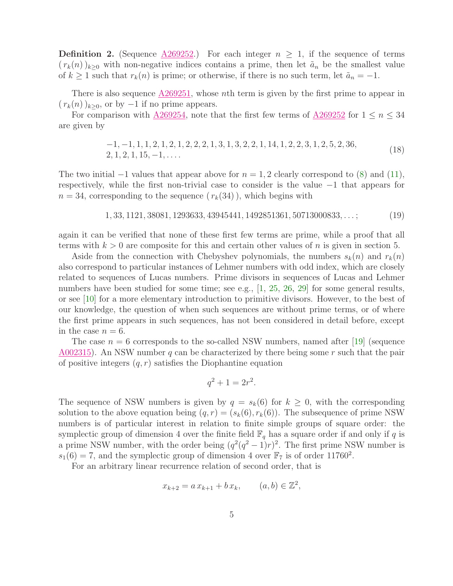**Definition 2.** (Sequence  $\triangle 269252$ .) For each integer  $n \geq 1$ , if the sequence of terms  $(r_k(n))_{k\geq 0}$  with non-negative indices contains a prime, then let  $\tilde{a}_n$  be the smallest value of  $k \geq 1$  such that  $r_k(n)$  is prime; or otherwise, if there is no such term, let  $\tilde{a}_n = -1$ .

There is also sequence  $\triangle 269251$ , whose *n*th term is given by the first prime to appear in  $(r_k(n))_{k\geq 0}$ , or by  $-1$  if no prime appears.

For comparison with  $\triangle 269254$ , note that the first few terms of  $\triangle 269252$  for  $1 \le n \le 34$ are given by

<span id="page-4-0"></span>
$$
-1, -1, 1, 1, 2, 1, 2, 1, 2, 2, 2, 1, 3, 1, 3, 2, 2, 1, 14, 1, 2, 2, 3, 1, 2, 5, 2, 36, 2, 1, 2, 1, 15, -1, ...
$$
\n(18)

The two initial  $-1$  values that appear above for  $n = 1, 2$  clearly correspond to [\(8\)](#page-2-2) and [\(11\)](#page-2-3), respectively, while the first non-trivial case to consider is the value −1 that appears for  $n = 34$ , corresponding to the sequence  $(r_k(34))$ , which begins with

$$
1, 33, 1121, 38081, 1293633, 43945441, 1492851361, 50713000833, \dots;
$$
 (19)

again it can be verified that none of these first few terms are prime, while a proof that all terms with  $k > 0$  are composite for this and certain other values of n is given in section 5.

Aside from the connection with Chebyshev polynomials, the numbers  $s_k(n)$  and  $r_k(n)$ also correspond to particular instances of Lehmer numbers with odd index, which are closely related to sequences of Lucas numbers. Prime divisors in sequences of Lucas and Lehmer numbers have been studied for some time; see e.g., [\[1,](#page-35-2) [25,](#page-36-2) [26,](#page-36-3) [29\]](#page-37-0) for some general results, or see [\[10\]](#page-35-3) for a more elementary introduction to primitive divisors. However, to the best of our knowledge, the question of when such sequences are without prime terms, or of where the first prime appears in such sequences, has not been considered in detail before, except in the case  $n = 6$ .

The case  $n = 6$  corresponds to the so-called NSW numbers, named after [\[19\]](#page-36-4) (sequence [A002315\)](https://oeis.org/A002315). An NSW number q can be characterized by there being some r such that the pair of positive integers  $(q, r)$  satisfies the Diophantine equation

$$
q^2 + 1 = 2r^2.
$$

The sequence of NSW numbers is given by  $q = s_k(6)$  for  $k \geq 0$ , with the corresponding solution to the above equation being  $(q, r) = (s_k(6), r_k(6))$ . The subsequence of prime NSW numbers is of particular interest in relation to finite simple groups of square order: the symplectic group of dimension 4 over the finite field  $\mathbb{F}_q$  has a square order if and only if q is a prime NSW number, with the order being  $(q^2(q^2-1)r)^2$ . The first prime NSW number is  $s_1(6) = 7$ , and the symplectic group of dimension 4 over  $\mathbb{F}_7$  is of order 11760<sup>2</sup>.

For an arbitrary linear recurrence relation of second order, that is

$$
x_{k+2} = a x_{k+1} + b x_k, \qquad (a, b) \in \mathbb{Z}^2,
$$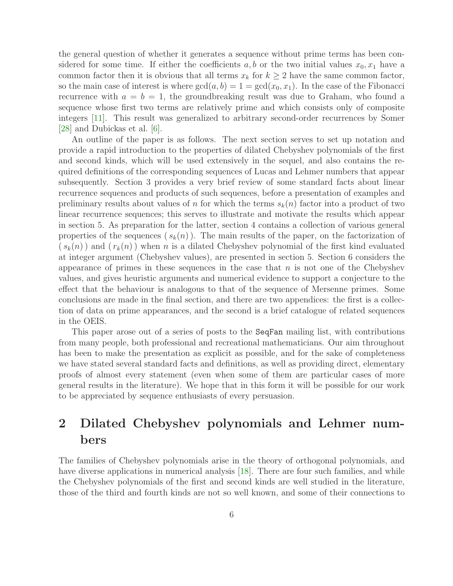the general question of whether it generates a sequence without prime terms has been considered for some time. If either the coefficients  $a, b$  or the two initial values  $x_0, x_1$  have a common factor then it is obvious that all terms  $x_k$  for  $k \geq 2$  have the same common factor, so the main case of interest is where  $gcd(a, b) = 1 = gcd(x_0, x_1)$ . In the case of the Fibonacci recurrence with  $a = b = 1$ , the groundbreaking result was due to Graham, who found a sequence whose first two terms are relatively prime and which consists only of composite integers [\[11\]](#page-35-4). This result was generalized to arbitrary second-order recurrences by Somer [\[28\]](#page-36-5) and Dubickas et al. [\[6\]](#page-35-5).

An outline of the paper is as follows. The next section serves to set up notation and provide a rapid introduction to the properties of dilated Chebyshev polynomials of the first and second kinds, which will be used extensively in the sequel, and also contains the required definitions of the corresponding sequences of Lucas and Lehmer numbers that appear subsequently. Section 3 provides a very brief review of some standard facts about linear recurrence sequences and products of such sequences, before a presentation of examples and preliminary results about values of n for which the terms  $s_k(n)$  factor into a product of two linear recurrence sequences; this serves to illustrate and motivate the results which appear in section 5. As preparation for the latter, section 4 contains a collection of various general properties of the sequences  $(s_k(n))$ . The main results of the paper, on the factorization of  $(s_k(n))$  and  $(r_k(n))$  when n is a dilated Chebyshev polynomial of the first kind evaluated at integer argument (Chebyshev values), are presented in section 5. Section 6 considers the appearance of primes in these sequences in the case that  $n$  is not one of the Chebyshev values, and gives heuristic arguments and numerical evidence to support a conjecture to the effect that the behaviour is analogous to that of the sequence of Mersenne primes. Some conclusions are made in the final section, and there are two appendices: the first is a collection of data on prime appearances, and the second is a brief catalogue of related sequences in the OEIS.

This paper arose out of a series of posts to the SeqFan mailing list, with contributions from many people, both professional and recreational mathematicians. Our aim throughout has been to make the presentation as explicit as possible, and for the sake of completeness we have stated several standard facts and definitions, as well as providing direct, elementary proofs of almost every statement (even when some of them are particular cases of more general results in the literature). We hope that in this form it will be possible for our work to be appreciated by sequence enthusiasts of every persuasion.

# 2 Dilated Chebyshev polynomials and Lehmer numbers

The families of Chebyshev polynomials arise in the theory of orthogonal polynomials, and have diverse applications in numerical analysis [\[18\]](#page-36-0). There are four such families, and while the Chebyshev polynomials of the first and second kinds are well studied in the literature, those of the third and fourth kinds are not so well known, and some of their connections to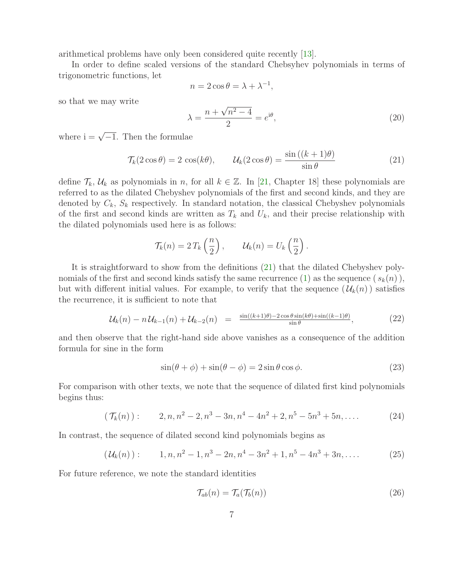arithmetical problems have only been considered quite recently [\[13\]](#page-36-6).

In order to define scaled versions of the standard Chebsyhev polynomials in terms of trigonometric functions, let

$$
n = 2\cos\theta = \lambda + \lambda^{-1},
$$

so that we may write

<span id="page-6-2"></span><span id="page-6-0"></span>
$$
\lambda = \frac{n + \sqrt{n^2 - 4}}{2} = e^{i\theta},\tag{20}
$$

where  $i = \sqrt{-1}$ . Then the formulae

$$
\mathcal{T}_{k}(2\cos\theta) = 2\cos(k\theta), \qquad \mathcal{U}_{k}(2\cos\theta) = \frac{\sin((k+1)\theta)}{\sin\theta}
$$
\n(21)

define  $\mathcal{T}_k$ ,  $\mathcal{U}_k$  as polynomials in n, for all  $k \in \mathbb{Z}$ . In [\[21,](#page-36-7) Chapter 18] these polynomials are referred to as the dilated Chebyshev polynomials of the first and second kinds, and they are denoted by  $C_k$ ,  $S_k$  respectively. In standard notation, the classical Chebyshev polynomials of the first and second kinds are written as  $T_k$  and  $U_k$ , and their precise relationship with the dilated polynomials used here is as follows:

<span id="page-6-1"></span>
$$
\mathcal{T}_k(n) = 2 T_k \left(\frac{n}{2}\right), \qquad \mathcal{U}_k(n) = U_k \left(\frac{n}{2}\right).
$$

It is straightforward to show from the definitions [\(21\)](#page-6-0) that the dilated Chebyshev poly-nomials of the first and second kinds satisfy the same recurrence [\(1\)](#page-1-1) as the sequence  $(s_k(n))$ , but with different initial values. For example, to verify that the sequence  $(\mathcal{U}_k(n))$  satisfies the recurrence, it is sufficient to note that

$$
\mathcal{U}_k(n) - n \mathcal{U}_{k-1}(n) + \mathcal{U}_{k-2}(n) = \frac{\sin((k+1)\theta) - 2\cos\theta\sin(k\theta) + \sin((k-1)\theta)}{\sin\theta},\tag{22}
$$

and then observe that the right-hand side above vanishes as a consequence of the addition formula for sine in the form

<span id="page-6-4"></span>
$$
\sin(\theta + \phi) + \sin(\theta - \phi) = 2\sin\theta\cos\phi.
$$
 (23)

For comparison with other texts, we note that the sequence of dilated first kind polynomials begins thus:

$$
(\mathcal{T}_k(n)):\qquad 2, n, n^2 - 2, n^3 - 3n, n^4 - 4n^2 + 2, n^5 - 5n^3 + 5n, \dots \qquad (24)
$$

In contrast, the sequence of dilated second kind polynomials begins as

$$
(\mathcal{U}_k(n)):\qquad 1, n, n^2 - 1, n^3 - 2n, n^4 - 3n^2 + 1, n^5 - 4n^3 + 3n, \dots \qquad (25)
$$

For future reference, we note the standard identities

<span id="page-6-3"></span>
$$
\mathcal{T}_{ab}(n) = \mathcal{T}_a(\mathcal{T}_b(n)) \tag{26}
$$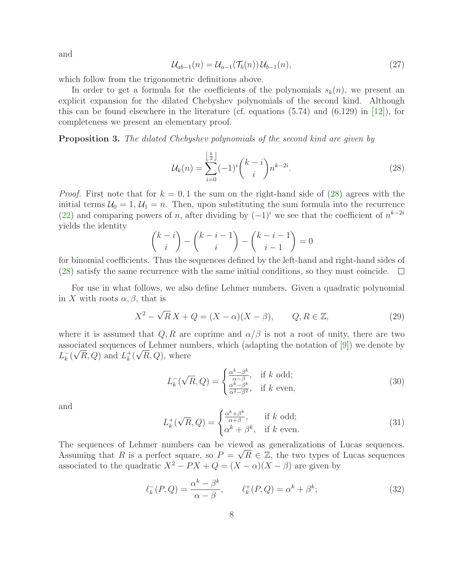<span id="page-7-3"></span>and

$$
\mathcal{U}_{ab-1}(n) = \mathcal{U}_{a-1}(\mathcal{T}_b(n))\mathcal{U}_{b-1}(n),\tag{27}
$$

which follow from the trigonometric definitions above.

In order to get a formula for the coefficients of the polynomials  $s_k(n)$ , we present an explicit expansion for the dilated Chebyshev polynomials of the second kind. Although this can be found elsewhere in the literature (cf. equations  $(5.74)$  and  $(6.129)$  in [\[12\]](#page-36-8)), for completeness we present an elementary proof.

Proposition 3. *The dilated Chebyshev polynomials of the second kind are given by*

<span id="page-7-0"></span>
$$
\mathcal{U}_k(n) = \sum_{i=0}^{\left\lfloor \frac{k}{2} \right\rfloor} (-1)^i {k-i \choose i} n^{k-2i}.
$$
 (28)

*Proof.* First note that for  $k = 0, 1$  the sum on the right-hand side of [\(28\)](#page-7-0) agrees with the initial terms  $U_0 = 1, U_1 = n$ . Then, upon substituting the sum formula into the recurrence [\(22\)](#page-6-1) and comparing powers of n, after dividing by  $(-1)^i$  we see that the coefficient of  $n^{k-2i}$ yields the identity

$$
\binom{k-i}{i} - \binom{k-i-1}{i} - \binom{k-i-1}{i-1} = 0
$$

for binomial coefficients. Thus the sequences defined by the left-hand and right-hand sides of [\(28\)](#page-7-0) satisfy the same recurrence with the same initial conditions, so they must coincide.  $\Box$ 

For use in what follows, we also define Lehmer numbers. Given a quadratic polynomial in X with roots  $\alpha, \beta$ , that is

<span id="page-7-2"></span>
$$
X^2 - \sqrt{R}X + Q = (X - \alpha)(X - \beta), \qquad Q, R \in \mathbb{Z},
$$
\n(29)

where it is assumed that  $Q, R$  are coprime and  $\alpha/\beta$  is not a root of unity, there are two associated sequences of Lehmer numbers, which (adapting the notation of [\[9\]](#page-35-6)) we denote by  $L_k^-(\sqrt{R}, Q)$  and  $L_k^+$  $\frac{1}{k}(\sqrt{R}, Q)$ , where

$$
L_k^-(\sqrt{R}, Q) = \begin{cases} \frac{\alpha^k - \beta^k}{\alpha - \beta}, & \text{if } k \text{ odd};\\ \frac{\alpha^k - \beta^k}{\alpha^2 - \beta^2}, & \text{if } k \text{ even}, \end{cases}
$$
(30)

and

<span id="page-7-1"></span>
$$
L_k^+(\sqrt{R}, Q) = \begin{cases} \frac{\alpha^k + \beta^k}{\alpha + \beta}, & \text{if } k \text{ odd};\\ \alpha^k + \beta^k, & \text{if } k \text{ even}. \end{cases}
$$
 (31)

The sequences of Lehmer numbers can be viewed as generalizations of Lucas sequences. Assuming that R is a perfect square, so  $P = \sqrt{R} \in \mathbb{Z}$ , the two types of Lucas sequences associated to the quadratic  $X^2 - PX + Q = (X - \alpha)(X - \beta)$  are given by

$$
\ell_k^-(P,Q) = \frac{\alpha^k - \beta^k}{\alpha - \beta}, \qquad \ell_k^+(P,Q) = \alpha^k + \beta^k; \tag{32}
$$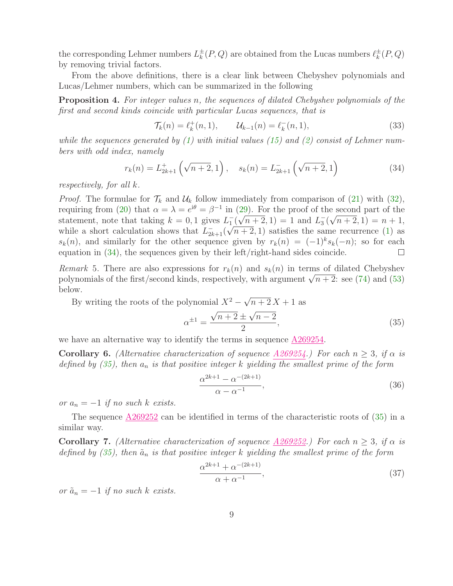the corresponding Lehmer numbers  $L_k^{\pm}(P,Q)$  are obtained from the Lucas numbers  $\ell_k^{\pm}(P,Q)$ by removing trivial factors.

From the above definitions, there is a clear link between Chebyshev polynomials and Lucas/Lehmer numbers, which can be summarized in the following

Proposition 4. *For integer values* n*, the sequences of dilated Chebyshev polynomials of the first and second kinds coincide with particular Lucas sequences, that is*

<span id="page-8-0"></span>
$$
\mathcal{T}_{k}(n) = \ell_{k}^{+}(n, 1), \qquad \mathcal{U}_{k-1}(n) = \ell_{k}^{-}(n, 1), \tag{33}
$$

*while the sequences generated by [\(1\)](#page-1-1) with initial values [\(15\)](#page-3-2) and [\(2\)](#page-1-2) consist of Lehmer numbers with odd index, namely*

$$
r_k(n) = L_{2k+1}^+ \left( \sqrt{n+2}, 1 \right), \quad s_k(n) = L_{2k+1}^- \left( \sqrt{n+2}, 1 \right)
$$
 (34)

*respectively, for all* k*.*

*Proof.* The formulae for  $\mathcal{T}_k$  and  $\mathcal{U}_k$  follow immediately from comparison of [\(21\)](#page-6-0) with [\(32\)](#page-7-1), requiring from [\(20\)](#page-6-2) that  $\alpha = \lambda = e^{i\theta} = \beta^{-1}$  in [\(29\)](#page-7-2). For the proof of the second part of the statement, note that taking  $k = 0, 1$  gives  $L_1^-(\sqrt{n+2}, 1) = 1$  and  $L_3^-(\sqrt{n+2}, 1) = n+1$ , while a short calculation shows that  $L_{2k+1}(\sqrt{n+2}, 1)$  satisfies the same recurrence [\(1\)](#page-1-1) as  $s_k(n)$ , and similarly for the other sequence given by  $r_k(n) = (-1)^k s_k(-n)$ ; so for each equation in [\(34\)](#page-8-0), the sequences given by their left/right-hand sides coincide.

*Remark* 5. There are also expressions for  $r_k(n)$  and  $s_k(n)$  in terms of dilated Chebyshev polynomials of the first/second kinds, respectively, with argument  $\sqrt{n+2}$ : see [\(74\)](#page-21-0) and [\(53\)](#page-13-0) below.

By writing the roots of the polynomial  $X^2 - \sqrt{n+2} X + 1$  as

<span id="page-8-1"></span>
$$
\alpha^{\pm 1} = \frac{\sqrt{n+2} \pm \sqrt{n-2}}{2},\tag{35}
$$

we have an alternative way to identify the terms in sequence [A269254.](https://oeis.org/A269254)

**Corollary 6.** *(Alternative characterization of sequence [A269254.](https://oeis.org/A269254)) For each*  $n \geq 3$ *, if*  $\alpha$  *is defined by [\(35\)](#page-8-1), then* a<sup>n</sup> *is that positive integer* k *yielding the smallest prime of the form*

<span id="page-8-2"></span>
$$
\frac{\alpha^{2k+1} - \alpha^{-(2k+1)}}{\alpha - \alpha^{-1}},
$$
\n(36)

*or*  $a_n = -1$  *if no such k exists.* 

The sequence [A269252](https://oeis.org/A269252) can be identified in terms of the characteristic roots of [\(35\)](#page-8-1) in a similar way.

**Corollary 7.** *(Alternative characterization of sequence*  $A269252$ *)* For each  $n \geq 3$ , if  $\alpha$  is *defined by* [\(35\)](#page-8-1), then  $\tilde{a}_n$  *is that positive integer* k *yielding the smallest prime of the form* 

<span id="page-8-3"></span>
$$
\frac{\alpha^{2k+1} + \alpha^{-(2k+1)}}{\alpha + \alpha^{-1}},
$$
\n(37)

*or*  $\tilde{a}_n = -1$  *if no such* k *exists.*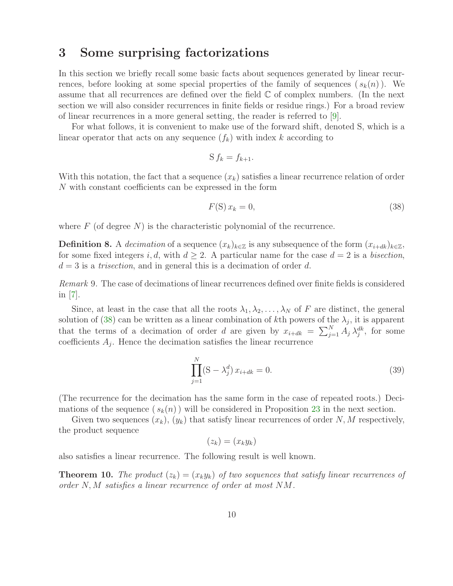### <span id="page-9-0"></span>3 Some surprising factorizations

In this section we briefly recall some basic facts about sequences generated by linear recurrences, before looking at some special properties of the family of sequences  $(s_k(n))$ . We assume that all recurrences are defined over the field  $\mathbb C$  of complex numbers. (In the next section we will also consider recurrences in finite fields or residue rings.) For a broad review of linear recurrences in a more general setting, the reader is referred to [\[9\]](#page-35-6).

For what follows, it is convenient to make use of the forward shift, denoted S, which is a linear operator that acts on any sequence  $(f_k)$  with index k according to

$$
S f_k = f_{k+1}.
$$

With this notation, the fact that a sequence  $(x_k)$  satisfies a linear recurrence relation of order N with constant coefficients can be expressed in the form

<span id="page-9-1"></span>
$$
F(S) x_k = 0,\t\t(38)
$$

where  $F$  (of degree N) is the characteristic polynomial of the recurrence.

**Definition 8.** A *decimation* of a sequence  $(x_k)_{k \in \mathbb{Z}}$  is any subsequence of the form  $(x_{i+dk})_{k \in \mathbb{Z}}$ , for some fixed integers i, d, with  $d \geq 2$ . A particular name for the case  $d = 2$  is a *bisection*,  $d = 3$  is a *trisection*, and in general this is a decimation of order d.

*Remark* 9*.* The case of decimations of linear recurrences defined over finite fields is considered in  $|7|$ .

Since, at least in the case that all the roots  $\lambda_1, \lambda_2, \ldots, \lambda_N$  of F are distinct, the general solution of [\(38\)](#page-9-1) can be written as a linear combination of kth powers of the  $\lambda_j$ , it is apparent that the terms of a decimation of order d are given by  $x_{i+dk} = \sum_{j=1}^{N} A_j \lambda_j^{dk}$ , for some coefficients  $A_j$ . Hence the decimation satisfies the linear recurrence

<span id="page-9-3"></span>
$$
\prod_{j=1}^{N} (S - \lambda_j^d) x_{i+dk} = 0.
$$
\n(39)

(The recurrence for the decimation has the same form in the case of repeated roots.) Decimations of the sequence  $(s_k(n))$  will be considered in Proposition [23](#page-15-0) in the next section.

Given two sequences  $(x_k)$ ,  $(y_k)$  that satisfy linear recurrences of order N, M respectively, the product sequence

$$
(z_k) = (x_k y_k)
$$

<span id="page-9-2"></span>also satisfies a linear recurrence. The following result is well known.

**Theorem 10.** The product  $(z_k) = (x_k y_k)$  of two sequences that satisfy linear recurrences of *order* N, M *satisfies a linear recurrence of order at most* NM*.*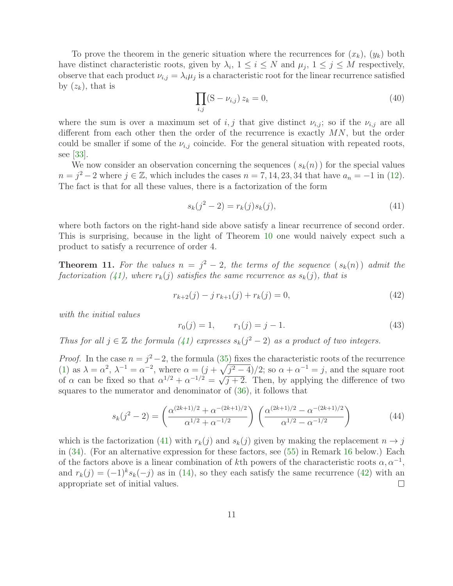<span id="page-10-2"></span>To prove the theorem in the generic situation where the recurrences for  $(x_k)$ ,  $(y_k)$  both have distinct characteristic roots, given by  $\lambda_i$ ,  $1 \leq i \leq N$  and  $\mu_j$ ,  $1 \leq j \leq M$  respectively, observe that each product  $\nu_{i,j} = \lambda_i \mu_j$  is a characteristic root for the linear recurrence satisfied by  $(z_k)$ , that is

$$
\prod_{i,j} (S - \nu_{i,j}) z_k = 0,
$$
\n(40)

where the sum is over a maximum set of i, j that give distinct  $\nu_{i,j}$ ; so if the  $\nu_{i,j}$  are all different from each other then the order of the recurrence is exactly MN, but the order could be smaller if some of the  $\nu_{i,j}$  coincide. For the general situation with repeated roots, see [\[33\]](#page-37-1).

We now consider an observation concerning the sequences  $(s_k(n))$  for the special values  $n = j^2 - 2$  where  $j \in \mathbb{Z}$ , which includes the cases  $n = 7, 14, 23, 34$  that have  $a_n = -1$  in [\(12\)](#page-3-3). The fact is that for all these values, there is a factorization of the form

<span id="page-10-1"></span><span id="page-10-0"></span>
$$
s_k(j^2 - 2) = r_k(j)s_k(j),
$$
\n(41)

where both factors on the right-hand side above satisfy a linear recurrence of second order. This is surprising, because in the light of Theorem [10](#page-9-2) one would naively expect such a product to satisfy a recurrence of order 4.

<span id="page-10-4"></span>**Theorem 11.** For the values  $n = j^2 - 2$ , the terms of the sequence  $(s_k(n))$  admit the *factorization* [\(41\)](#page-10-0), where  $r_k(j)$  *satisfies the same recurrence as*  $s_k(j)$ *, that is* 

$$
r_{k+2}(j) - j r_{k+1}(j) + r_k(j) = 0,
$$
\n(42)

*with the initial values*

<span id="page-10-3"></span>
$$
r_0(j) = 1, \qquad r_1(j) = j - 1. \tag{43}
$$

*Thus for all*  $j \in \mathbb{Z}$  *the formula* [\(41\)](#page-10-0) *expresses*  $s_k(j^2 - 2)$  *as a product of two integers.* 

*Proof.* In the case  $n = j^2 - 2$ , the formula [\(35\)](#page-8-1) fixes the characteristic roots of the recurrence [\(1\)](#page-1-1) as  $\lambda = \alpha^2$ ,  $\lambda^{-1} = \alpha^{-2}$ , where  $\alpha = (j + \sqrt{j^2 - 4})/2$ ; so  $\alpha + \alpha^{-1} = j$ , and the square root of  $\alpha$  can be fixed so that  $\alpha^{1/2} + \alpha^{-1/2} = \sqrt{j+2}$ . Then, by applying the difference of two squares to the numerator and denominator of [\(36\)](#page-8-2), it follows that

$$
s_k(j^2 - 2) = \left(\frac{\alpha^{(2k+1)/2} + \alpha^{-(2k+1)/2}}{\alpha^{1/2} + \alpha^{-1/2}}\right) \left(\frac{\alpha^{(2k+1)/2} - \alpha^{-(2k+1)/2}}{\alpha^{1/2} - \alpha^{-1/2}}\right)
$$
(44)

which is the factorization [\(41\)](#page-10-0) with  $r_k(j)$  and  $s_k(j)$  given by making the replacement  $n \to j$ in [\(34\)](#page-8-0). (For an alternative expression for these factors, see [\(55\)](#page-14-0) in Remark [16](#page-13-1) below.) Each of the factors above is a linear combination of kth powers of the characteristic roots  $\alpha, \alpha^{-1}$ , and  $r_k(j) = (-1)^k s_k(-j)$  as in [\(14\)](#page-3-0), so they each satisfy the same recurrence [\(42\)](#page-10-1) with an appropriate set of initial values.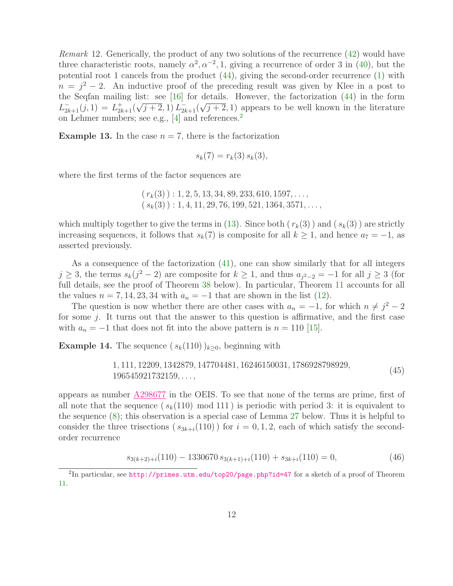*Remark* 12*.* Generically, the product of any two solutions of the recurrence [\(42\)](#page-10-1) would have three characteristic roots, namely  $\alpha^2, \alpha^{-2}, 1$ , giving a recurrence of order 3 in [\(40\)](#page-10-2), but the potential root 1 cancels from the product [\(44\)](#page-10-3), giving the second-order recurrence [\(1\)](#page-1-1) with  $n = j^2 - 2$ . An inductive proof of the preceding result was given by Klee in a post to the Seqfan mailing list: see  $[16]$  for details. However, the factorization  $(44)$  in the form  $L_{2k+1}^{-}(j,1) = L_{2k+1}^{+}(\sqrt{j+2},1) L_{2k+1}^{-}(\sqrt{j+2},1)$  appears to be well known in the literature on Lehmer numbers; see e.g., [\[4\]](#page-35-8) and references.[2](#page-11-0)

**Example 13.** In the case  $n = 7$ , there is the factorization

$$
s_k(7) = r_k(3) s_k(3),
$$

where the first terms of the factor sequences are

$$
(r_k(3)) : 1, 2, 5, 13, 34, 89, 233, 610, 1597, \ldots,
$$
  
 $(s_k(3)) : 1, 4, 11, 29, 76, 199, 521, 1364, 3571, \ldots,$ 

which multiply together to give the terms in [\(13\)](#page-3-4). Since both  $(r_k(3))$  and  $(s_k(3))$  are strictly increasing sequences, it follows that  $s_k(7)$  is composite for all  $k \geq 1$ , and hence  $a_7 = -1$ , as asserted previously.

As a consequence of the factorization  $(41)$ , one can show similarly that for all integers  $j \geq 3$ , the terms  $s_k(j^2-2)$  are composite for  $k \geq 1$ , and thus  $a_{j^2-2} = -1$  for all  $j \geq 3$  (for full details, see the proof of Theorem [38](#page-22-0) below). In particular, Theorem [11](#page-10-4) accounts for all the values  $n = 7, 14, 23, 34$  with  $a_n = -1$  that are shown in the list [\(12\)](#page-3-3).

The question is now whether there are other cases with  $a_n = -1$ , for which  $n \neq j^2 - 2$ for some j. It turns out that the answer to this question is affirmative, and the first case with  $a_n = -1$  that does not fit into the above pattern is  $n = 110$  [\[15\]](#page-36-10).

**Example 14.** The sequence  $(s_k(110))_{k\geq0}$ , beginning with

<span id="page-11-1"></span>
$$
1, 111, 12209, 1342879, 147704481, 16246150031, 1786928798929, 196545921732159, ...,
$$
\n
$$
(45)
$$

appears as number [A298677](https://oeis.org/A298677) in the OEIS. To see that none of the terms are prime, first of all note that the sequence ( $s_k(110) \mod 111$ ) is periodic with period 3: it is equivalent to the sequence [\(8\)](#page-2-2); this observation is a special case of Lemma [27](#page-17-1) below. Thus it is helpful to consider the three trisections  $(s_{3k+i}(110))$  for  $i = 0, 1, 2$ , each of which satisfy the secondorder recurrence

$$
s_{3(k+2)+i}(110) - 1330670 \, s_{3(k+1)+i}(110) + s_{3k+i}(110) = 0,\tag{46}
$$

<span id="page-11-0"></span> $^{2}$ In particular, see [http://primes.utm.edu/top20/page.php?id=47](http://primes.utm.edu/top20/page.php?id=47 ) for a sketch of a proof of Theorem [11.](#page-10-4)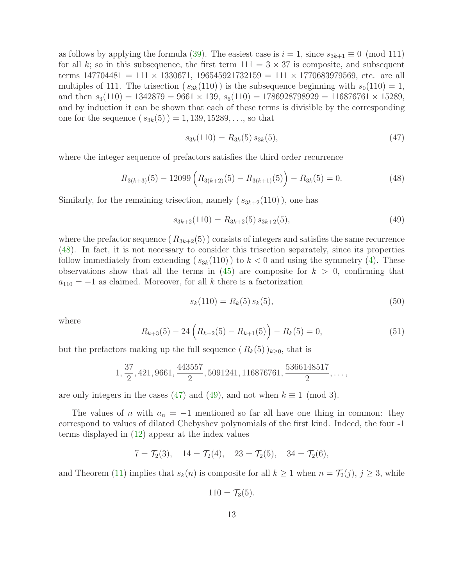as follows by applying the formula [\(39\)](#page-9-3). The easiest case is  $i = 1$ , since  $s_{3k+1} \equiv 0 \pmod{111}$ for all k; so in this subsequence, the first term  $111 = 3 \times 37$  is composite, and subsequent terms  $147704481 = 111 \times 1330671$ ,  $196545921732159 = 111 \times 1770683979569$ , etc. are all multiples of 111. The trisection  $(s_{3k}(110))$  is the subsequence beginning with  $s_0(110) = 1$ , and then  $s_3(110) = 1342879 = 9661 \times 139$ ,  $s_6(110) = 1786928798929 = 116876761 \times 15289$ , and by induction it can be shown that each of these terms is divisible by the corresponding one for the sequence  $(s_{3k}(5)) = 1,139,15289,...$ , so that

<span id="page-12-2"></span><span id="page-12-1"></span><span id="page-12-0"></span>
$$
s_{3k}(110) = R_{3k}(5) s_{3k}(5), \tag{47}
$$

where the integer sequence of prefactors satisfies the third order recurrence

$$
R_{3(k+3)}(5) - 12099\left(R_{3(k+2)}(5) - R_{3(k+1)}(5)\right) - R_{3k}(5) = 0.
$$
\n(48)

Similarly, for the remaining trisection, namely  $(s_{3k+2}(110))$ , one has

$$
s_{3k+2}(110) = R_{3k+2}(5) s_{3k+2}(5),
$$
\n(49)

where the prefactor sequence  $(R_{3k+2}(5))$  consists of integers and satisfies the same recurrence [\(48\)](#page-12-0). In fact, it is not necessary to consider this trisection separately, since its properties follow immediately from extending  $(s_{3k}(110))$  to  $k < 0$  and using the symmetry [\(4\)](#page-1-3). These observations show that all the terms in  $(45)$  are composite for  $k > 0$ , confirming that  $a_{110} = -1$  as claimed. Moreover, for all k there is a factorization

<span id="page-12-3"></span>
$$
s_k(110) = R_k(5) s_k(5), \tag{50}
$$

where

$$
R_{k+3}(5) - 24\left(R_{k+2}(5) - R_{k+1}(5)\right) - R_k(5) = 0,\t(51)
$$

but the prefactors making up the full sequence  $(R_k(5))_{k>0}$ , that is

$$
1, \frac{37}{2}, 421, 9661, \frac{443557}{2}, 5091241, 116876761, \frac{5366148517}{2}, \ldots,
$$

are only integers in the cases [\(47\)](#page-12-1) and [\(49\)](#page-12-2), and not when  $k \equiv 1 \pmod{3}$ .

The values of n with  $a_n = -1$  mentioned so far all have one thing in common: they correspond to values of dilated Chebyshev polynomials of the first kind. Indeed, the four -1 terms displayed in [\(12\)](#page-3-3) appear at the index values

$$
7 = \mathcal{T}_2(3), \quad 14 = \mathcal{T}_2(4), \quad 23 = \mathcal{T}_2(5), \quad 34 = \mathcal{T}_2(6),
$$

and Theorem [\(11\)](#page-10-4) implies that  $s_k(n)$  is composite for all  $k \ge 1$  when  $n = \mathcal{T}_2(j)$ ,  $j \ge 3$ , while

$$
110 = \mathcal{T}_3(5).
$$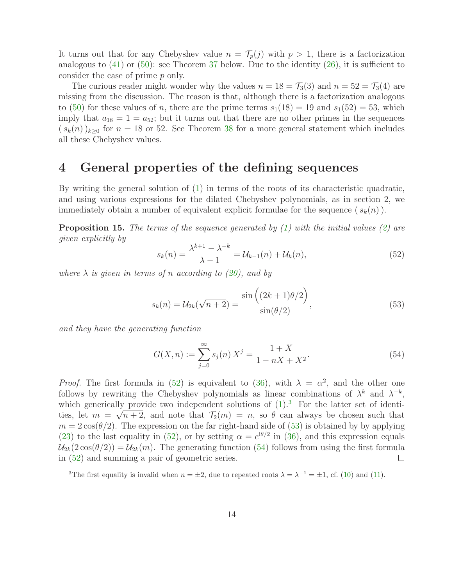It turns out that for any Chebyshev value  $n = \mathcal{T}_p(j)$  with  $p > 1$ , there is a factorization analogous to  $(41)$  or  $(50)$ : see Theorem [37](#page-20-1) below. Due to the identity  $(26)$ , it is sufficient to consider the case of prime p only.

The curious reader might wonder why the values  $n = 18 = \mathcal{T}_3(3)$  and  $n = 52 = \mathcal{T}_3(4)$  are missing from the discussion. The reason is that, although there is a factorization analogous to [\(50\)](#page-12-3) for these values of n, there are the prime terms  $s_1(18) = 19$  and  $s_1(52) = 53$ , which imply that  $a_{18} = 1 = a_{52}$ ; but it turns out that there are no other primes in the sequences  $(s_k(n))_{k\geq 0}$  for  $n=18$  or 52. See Theorem [38](#page-22-0) for a more general statement which includes all these Chebyshev values.

### 4 General properties of the defining sequences

By writing the general solution of [\(1\)](#page-1-1) in terms of the roots of its characteristic quadratic, and using various expressions for the dilated Chebyshev polynomials, as in section 2, we immediately obtain a number of equivalent explicit formulae for the sequence  $(s_k(n))$ .

Proposition 15. *The terms of the sequence generated by [\(1\)](#page-1-1) with the initial values [\(2\)](#page-1-2) are given explicitly by*

<span id="page-13-2"></span><span id="page-13-0"></span>
$$
s_k(n) = \frac{\lambda^{k+1} - \lambda^{-k}}{\lambda - 1} = \mathcal{U}_{k-1}(n) + \mathcal{U}_k(n),
$$
\n(52)

*where*  $\lambda$  *is given in terms of n according to* [\(20\)](#page-6-2)*,* and by

$$
s_k(n) = \mathcal{U}_{2k}(\sqrt{n+2}) = \frac{\sin\left((2k+1)\theta/2\right)}{\sin(\theta/2)},
$$
\n(53)

*and they have the generating function*

<span id="page-13-4"></span>
$$
G(X, n) := \sum_{j=0}^{\infty} s_j(n) X^j = \frac{1+X}{1-nX+X^2}.
$$
 (54)

*Proof.* The first formula in [\(52\)](#page-13-2) is equivalent to [\(36\)](#page-8-2), with  $\lambda = \alpha^2$ , and the other one follows by rewriting the Chebyshev polynomials as linear combinations of  $\lambda^k$  and  $\lambda^{-k}$ , which generically provide two independent solutions of  $(1)$ .<sup>[3](#page-13-3)</sup> For the latter set of identities, let  $m = \sqrt{n+2}$ , and note that  $\mathcal{T}_2(m) = n$ , so  $\theta$  can always be chosen such that  $m = 2\cos(\theta/2)$ . The expression on the far right-hand side of [\(53\)](#page-13-0) is obtained by by applying [\(23\)](#page-6-4) to the last equality in [\(52\)](#page-13-2), or by setting  $\alpha = e^{i\theta/2}$  in [\(36\)](#page-8-2), and this expression equals  $U_{2k}(2\cos(\theta/2)) = U_{2k}(m)$ . The generating function [\(54\)](#page-13-4) follows from using the first formula in (52) and summing a pair of geometric series. in [\(52\)](#page-13-2) and summing a pair of geometric series.

<span id="page-13-3"></span><span id="page-13-1"></span><sup>&</sup>lt;sup>3</sup>The first equality is invalid when  $n = \pm 2$ , due to repeated roots  $\lambda = \lambda^{-1} = \pm 1$ , cf. [\(10\)](#page-2-4) and [\(11\)](#page-2-3).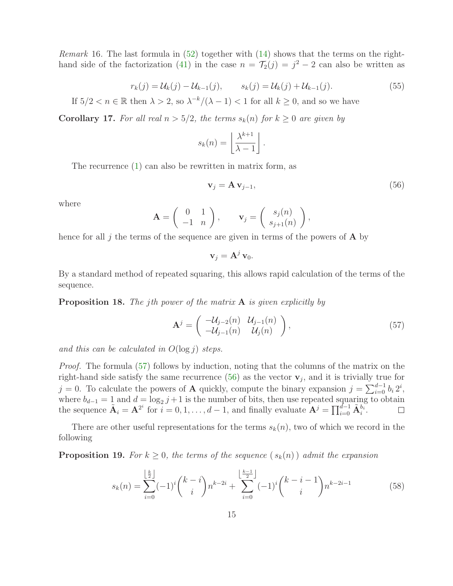<span id="page-14-0"></span>*Remark* 16. The last formula in [\(52\)](#page-13-2) together with [\(14\)](#page-3-0) shows that the terms on the right-hand side of the factorization [\(41\)](#page-10-0) in the case  $n = \mathcal{T}_2(j) = j^2 - 2$  can also be written as

$$
r_k(j) = \mathcal{U}_k(j) - \mathcal{U}_{k-1}(j), \qquad s_k(j) = \mathcal{U}_k(j) + \mathcal{U}_{k-1}(j). \tag{55}
$$

If  $5/2 < n \in \mathbb{R}$  then  $\lambda > 2$ , so  $\lambda^{-k}/(\lambda - 1) < 1$  for all  $k \ge 0$ , and so we have

**Corollary 17.** For all real  $n > 5/2$ , the terms  $s_k(n)$  for  $k \geq 0$  are given by

$$
s_k(n) = \left\lfloor \frac{\lambda^{k+1}}{\lambda - 1} \right\rfloor.
$$

The recurrence [\(1\)](#page-1-1) can also be rewritten in matrix form, as

<span id="page-14-2"></span>
$$
\mathbf{v}_j = \mathbf{A} \, \mathbf{v}_{j-1},\tag{56}
$$

where

$$
\mathbf{A} = \left( \begin{array}{cc} 0 & 1 \\ -1 & n \end{array} \right), \qquad \mathbf{v}_j = \left( \begin{array}{c} s_j(n) \\ s_{j+1}(n) \end{array} \right),
$$

hence for all j the terms of the sequence are given in terms of the powers of  $\bf{A}$  by

<span id="page-14-1"></span> $\mathbf{v}_i = \mathbf{A}^j \mathbf{v}_0.$ 

By a standard method of repeated squaring, this allows rapid calculation of the terms of the sequence.

Proposition 18. *The* j*th power of the matrix* A *is given explicitly by*

<span id="page-14-3"></span>
$$
\mathbf{A}^{j} = \begin{pmatrix} -\mathcal{U}_{j-2}(n) & \mathcal{U}_{j-1}(n) \\ -\mathcal{U}_{j-1}(n) & \mathcal{U}_{j}(n) \end{pmatrix},
$$
\n(57)

*and this can be calculated in* O(log j) *steps.*

*Proof.* The formula [\(57\)](#page-14-1) follows by induction, noting that the columns of the matrix on the right-hand side satisfy the same recurrence  $(56)$  as the vector  $\mathbf{v}_j$ , and it is trivially true for j = 0. To calculate the powers of **A** quickly, compute the binary expansion  $j = \sum_{i=0}^{d-1} b_i 2^i$ , where  $b_{d-1} = 1$  and  $d = \log_2 j + 1$  is the number of bits, then use repeated squaring to obtain the sequence  $\tilde{\mathbf{A}}_i = \mathbf{A}^{2^i}$  for  $i = 0, 1, ..., d - 1$ , and finally evaluate  $\mathbf{A}^j = \prod_{i=0}^{d-1} \tilde{\mathbf{A}}_i^{b_i}$ .

There are other useful representations for the terms  $s_k(n)$ , two of which we record in the following

**Proposition 19.** For  $k \geq 0$ , the terms of the sequence  $(s_k(n))$  admit the expansion

$$
s_k(n) = \sum_{i=0}^{\left\lfloor \frac{k}{2} \right\rfloor} (-1)^i {k-i \choose i} n^{k-2i} + \sum_{i=0}^{\left\lfloor \frac{k-1}{2} \right\rfloor} (-1)^i {k-i-1 \choose i} n^{k-2i-1}
$$
(58)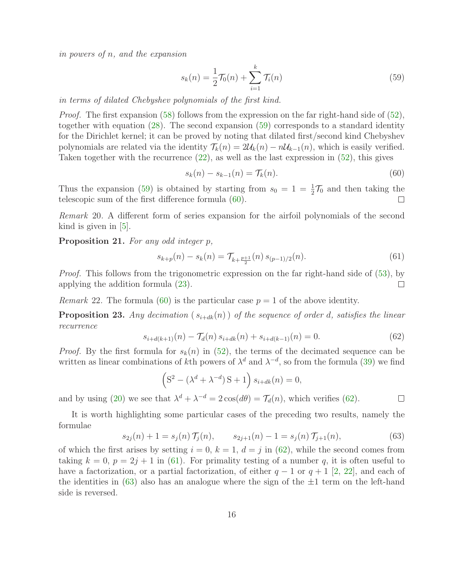*in powers of* n*, and the expansion*

<span id="page-15-1"></span>
$$
s_k(n) = \frac{1}{2}\mathcal{T}_0(n) + \sum_{i=1}^k \mathcal{T}_i(n)
$$
\n(59)

*in terms of dilated Chebyshev polynomials of the first kind.*

*Proof.* The first expansion [\(58\)](#page-14-3) follows from the expression on the far right-hand side of [\(52\)](#page-13-2), together with equation [\(28\)](#page-7-0). The second expansion [\(59\)](#page-15-1) corresponds to a standard identity for the Dirichlet kernel; it can be proved by noting that dilated first/second kind Chebyshev polynomials are related via the identity  $\mathcal{T}_k(n) = 2\mathcal{U}_k(n) - n\mathcal{U}_{k-1}(n)$ , which is easily verified. Taken together with the recurrence [\(22\)](#page-6-1), as well as the last expression in [\(52\)](#page-13-2), this gives

<span id="page-15-2"></span>
$$
s_k(n) - s_{k-1}(n) = \mathcal{T}_k(n). \tag{60}
$$

Thus the expansion [\(59\)](#page-15-1) is obtained by starting from  $s_0 = 1 = \frac{1}{2}\mathcal{T}_0$  and then taking the telescopic sum of the first difference formula [\(60\)](#page-15-2).

*Remark* 20*.* A different form of series expansion for the airfoil polynomials of the second kind is given in  $|5|$ .

Proposition 21. *For any odd integer* p*,*

<span id="page-15-4"></span>
$$
s_{k+p}(n) - s_k(n) = \mathcal{T}_{k+p+1}(n) s_{(p-1)/2}(n).
$$
 (61)

*Proof.* This follows from the trigonometric expression on the far right-hand side of [\(53\)](#page-13-0), by applying the addition formula [\(23\)](#page-6-4).  $\Box$ 

<span id="page-15-0"></span>*Remark* 22. The formula [\(60\)](#page-15-2) is the particular case  $p = 1$  of the above identity.

<span id="page-15-3"></span>**Proposition 23.** Any decimation  $(s_{i+dk}(n))$  of the sequence of order d, satisfies the linear *recurrence*

$$
s_{i+d(k+1)}(n) - \mathcal{T}_d(n) s_{i+dk}(n) + s_{i+d(k-1)}(n) = 0.
$$
 (62)

*Proof.* By the first formula for  $s_k(n)$  in [\(52\)](#page-13-2), the terms of the decimated sequence can be written as linear combinations of kth powers of  $\lambda^d$  and  $\lambda^{-d}$ , so from the formula [\(39\)](#page-9-3) we find

$$
(S2 - (\lambdad + \lambda-d) S + 1) si+dk(n) = 0,
$$

and by using [\(20\)](#page-6-2) we see that  $\lambda^d + \lambda^{-d} = 2 \cos(d\theta) = \mathcal{T}_d(n)$ , which verifies [\(62\)](#page-15-3).  $\Box$ 

It is worth highlighting some particular cases of the preceding two results, namely the formulae

<span id="page-15-5"></span>
$$
s_{2j}(n) + 1 = s_j(n) \mathcal{T}_j(n), \qquad s_{2j+1}(n) - 1 = s_j(n) \mathcal{T}_{j+1}(n), \tag{63}
$$

of which the first arises by setting  $i = 0, k = 1, d = j$  in [\(62\)](#page-15-3), while the second comes from taking  $k = 0$ ,  $p = 2j + 1$  in [\(61\)](#page-15-4). For primality testing of a number q, it is often useful to have a factorization, or a partial factorization, of either  $q-1$  or  $q+1$  [\[2,](#page-35-9) [22\]](#page-36-11), and each of the identities in [\(63\)](#page-15-5) also has an analogue where the sign of the  $\pm 1$  term on the left-hand side is reversed.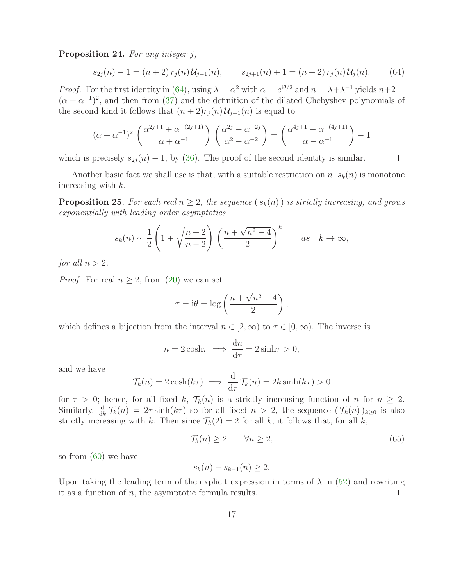Proposition 24. *For any integer* j*,*

<span id="page-16-0"></span>
$$
s_{2j}(n) - 1 = (n+2) r_j(n) \mathcal{U}_{j-1}(n), \qquad s_{2j+1}(n) + 1 = (n+2) r_j(n) \mathcal{U}_j(n). \tag{64}
$$

*Proof.* For the first identity in [\(64\)](#page-16-0), using  $\lambda = \alpha^2$  with  $\alpha = e^{i\theta/2}$  and  $n = \lambda + \lambda^{-1}$  yields  $n+2 =$  $(\alpha + \alpha^{-1})^2$ , and then from [\(37\)](#page-8-3) and the definition of the dilated Chebyshev polynomials of the second kind it follows that  $(n+2)r_j(n)\mathcal{U}_{j-1}(n)$  is equal to

$$
(\alpha + \alpha^{-1})^2 \left( \frac{\alpha^{2j+1} + \alpha^{-(2j+1)}}{\alpha + \alpha^{-1}} \right) \left( \frac{\alpha^{2j} - \alpha^{-2j}}{\alpha^2 - \alpha^{-2}} \right) = \left( \frac{\alpha^{4j+1} - \alpha^{-(4j+1)}}{\alpha - \alpha^{-1}} \right) - 1
$$

which is precisely  $s_{2i}(n) - 1$ , by [\(36\)](#page-8-2). The proof of the second identity is similar.

<span id="page-16-1"></span>Another basic fact we shall use is that, with a suitable restriction on n,  $s_k(n)$  is monotone increasing with  $k$ .

**Proposition 25.** For each real  $n \geq 2$ , the sequence  $(s_k(n))$  is strictly increasing, and grows *exponentially with leading order asymptotics*

$$
s_k(n) \sim \frac{1}{2} \left( 1 + \sqrt{\frac{n+2}{n-2}} \right) \left( \frac{n + \sqrt{n^2 - 4}}{2} \right)^k
$$
 as  $k \to \infty$ ,

*for all*  $n > 2$ *.* 

*Proof.* For real  $n \geq 2$ , from [\(20\)](#page-6-2) we can set

$$
\tau = i\theta = \log\left(\frac{n + \sqrt{n^2 - 4}}{2}\right),\,
$$

which defines a bijection from the interval  $n \in [2,\infty)$  to  $\tau \in [0,\infty)$ . The inverse is

$$
n = 2\cosh\tau \implies \frac{\mathrm{d}n}{\mathrm{d}\tau} = 2\sinh\tau > 0,
$$

and we have

$$
\mathcal{T}_k(n) = 2\cosh(k\tau) \implies \frac{d}{d\tau}\mathcal{T}_k(n) = 2k\sinh(k\tau) > 0
$$

for  $\tau > 0$ ; hence, for all fixed k,  $\mathcal{T}_k(n)$  is a strictly increasing function of n for  $n \geq 2$ . Similarly,  $\frac{d}{dk} \mathcal{T}_k(n) = 2\tau \sinh(k\tau)$  so for all fixed  $n > 2$ , the sequence  $(\mathcal{T}_k(n))_{k\geq 0}$  is also strictly increasing with k. Then since  $\mathcal{T}_k(2) = 2$  for all k, it follows that, for all k,

<span id="page-16-2"></span>
$$
\mathcal{T}_k(n) \ge 2 \qquad \forall n \ge 2,\tag{65}
$$

so from [\(60\)](#page-15-2) we have

$$
s_k(n) - s_{k-1}(n) \ge 2.
$$

Upon taking the leading term of the explicit expression in terms of  $\lambda$  in [\(52\)](#page-13-2) and rewriting it as a function of  $n$ , the asymptotic formula results.  $\Box$ 

 $\Box$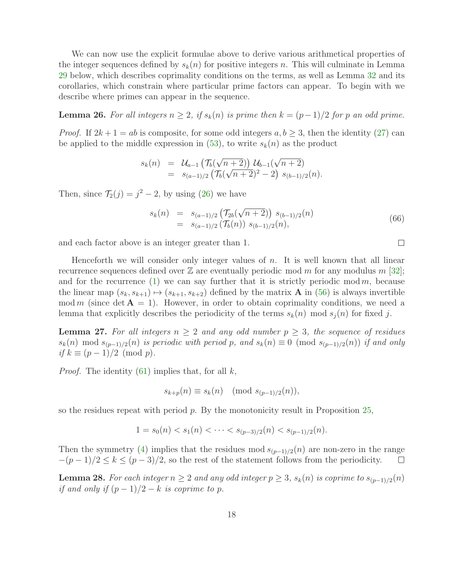We can now use the explicit formulae above to derive various arithmetical properties of the integer sequences defined by  $s_k(n)$  for positive integers n. This will culminate in Lemma [29](#page-18-0) below, which describes coprimality conditions on the terms, as well as Lemma [32](#page-19-0) and its corollaries, which constrain where particular prime factors can appear. To begin with we describe where primes can appear in the sequence.

<span id="page-17-0"></span>**Lemma 26.** For all integers  $n ≥ 2$ , if  $s_k(n)$  is prime then  $k = (p-1)/2$  for p an odd prime.

*Proof.* If  $2k + 1 = ab$  is composite, for some odd integers  $a, b \geq 3$ , then the identity [\(27\)](#page-7-3) can be applied to the middle expression in [\(53\)](#page-13-0), to write  $s_k(n)$  as the product

$$
s_k(n) = \mathcal{U}_{a-1}(\mathcal{T}_b(\sqrt{n+2})) \mathcal{U}_{b-1}(\sqrt{n+2})
$$
  
=  $s_{(a-1)/2}(\mathcal{T}_b(\sqrt{n+2})^2 - 2) s_{(b-1)/2}(n).$ 

Then, since  $\mathcal{T}_2(j) = j^2 - 2$ , by using [\(26\)](#page-6-3) we have

<span id="page-17-3"></span>
$$
s_k(n) = s_{(a-1)/2} \left( \mathcal{T}_{2b}(\sqrt{n+2}) \right) s_{(b-1)/2}(n)
$$
  
=  $s_{(a-1)/2} \left( \mathcal{T}_b(n) \right) s_{(b-1)/2}(n),$  (66)

and each factor above is an integer greater than 1.

Henceforth we will consider only integer values of  $n$ . It is well known that all linear recurrence sequences defined over  $\mathbb Z$  are eventually periodic mod m for any modulus m [\[32\]](#page-37-2); and for the recurrence [\(1\)](#page-1-1) we can say further that it is strictly periodic mod m, because the linear map  $(s_k, s_{k+1}) \mapsto (s_{k+1}, s_{k+2})$  defined by the matrix **A** in [\(56\)](#page-14-2) is always invertible mod m (since det  $A = 1$ ). However, in order to obtain coprimality conditions, we need a lemma that explicitly describes the periodicity of the terms  $s_k(n)$  mod  $s_i(n)$  for fixed j.

<span id="page-17-1"></span>**Lemma 27.** For all integers  $n \geq 2$  and any odd number  $p \geq 3$ , the sequence of residues  $s_k(n) \mod s_{(p-1)/2}(n)$  *is periodic with period* p, and  $s_k(n) \equiv 0 \pmod{s_{(p-1)/2}(n)}$  *if and only*  $if k \equiv (p-1)/2 \pmod{p}$ .

*Proof.* The identity  $(61)$  implies that, for all k,

$$
s_{k+p}(n) \equiv s_k(n) \pmod{s_{(p-1)/2}(n)},
$$

so the residues repeat with period  $p$ . By the monotonicity result in Proposition [25,](#page-16-1)

$$
1 = s_0(n) < s_1(n) < \cdots < s_{(p-3)/2}(n) < s_{(p-1)/2}(n).
$$

Then the symmetry [\(4\)](#page-1-3) implies that the residues mod  $s_{(p-1)/2}(n)$  are non-zero in the range  $-(p-1)/2 \leq k \leq (p-3)/2$ , so the rest of the statement follows from the periodicity.  $-(p-1)/2 \leq k \leq (p-3)/2$ , so the rest of the statement follows from the periodicity.

<span id="page-17-2"></span>**Lemma 28.** *For each integer*  $n ≥ 2$  *and any odd integer*  $p ≥ 3$ *, s<sub>k</sub>*(*n*) *is coprime to*  $s_{(p-1)/2}(n)$ *if and only if*  $(p-1)/2 - k$  *is coprime to p.* 

 $\Box$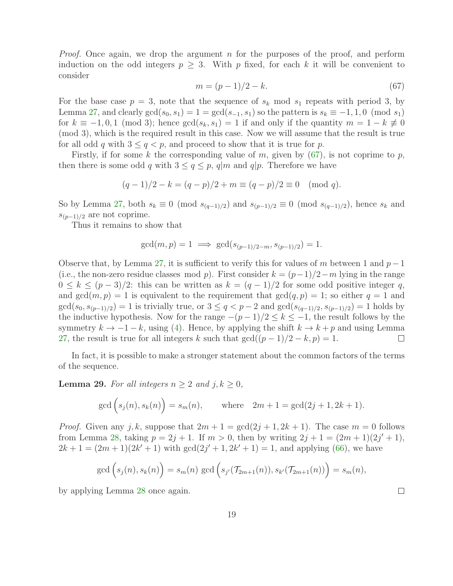<span id="page-18-1"></span>*Proof.* Once again, we drop the argument n for the purposes of the proof, and perform induction on the odd integers  $p \geq 3$ . With p fixed, for each k it will be convenient to consider

$$
m = (p - 1)/2 - k.
$$
\n(67)

For the base case  $p = 3$ , note that the sequence of  $s_k$  mod  $s_1$  repeats with period 3, by Lemma [27,](#page-17-1) and clearly  $gcd(s_0, s_1) = 1 = gcd(s_{-1}, s_1)$  so the pattern is  $s_k \equiv -1, 1, 0 \pmod{s_1}$ for  $k \equiv -1, 0, 1 \pmod{3}$ ; hence  $gcd(s_k, s_1) = 1$  if and only if the quantity  $m = 1 - k \not\equiv 0$ (mod 3), which is the required result in this case. Now we will assume that the result is true for all odd q with  $3 \le q < p$ , and proceed to show that it is true for p.

Firstly, if for some k the corresponding value of m, given by  $(67)$ , is not coprime to p, then there is some odd q with  $3 \le q \le p$ , q|m and q|p. Therefore we have

$$
(q-1)/2 - k = (q-p)/2 + m \equiv (q-p)/2 \equiv 0 \pmod{q}.
$$

So by Lemma [27,](#page-17-1) both  $s_k \equiv 0 \pmod{s_{(q-1)/2}}$  and  $s_{(p-1)/2} \equiv 0 \pmod{s_{(q-1)/2}}$ , hence  $s_k$  and  $s_{(p-1)/2}$  are not coprime.

Thus it remains to show that

$$
gcd(m, p) = 1 \implies gcd(s_{(p-1)/2-m}, s_{(p-1)/2}) = 1.
$$

Observe that, by Lemma [27,](#page-17-1) it is sufficient to verify this for values of m between 1 and  $p-1$ (i.e., the non-zero residue classes mod p). First consider  $k = (p-1)/2-m$  lying in the range  $0 \leq k \leq (p-3)/2$ : this can be written as  $k = (q-1)/2$  for some odd positive integer q, and  $gcd(m, p) = 1$  is equivalent to the requirement that  $gcd(q, p) = 1$ ; so either  $q = 1$  and  $gcd(s_0, s_{(p-1)/2}) = 1$  is trivially true, or  $3 \le q < p-2$  and  $gcd(s_{(q-1)/2}, s_{(p-1)/2}) = 1$  holds by the inductive hypothesis. Now for the range  $-(p-1)/2 \le k \le -1$ , the result follows by the symmetry  $k \to -1 - k$ , using [\(4\)](#page-1-3). Hence, by applying the shift  $k \to k + p$  and using Lemma 27, the result is true for all integers k such that  $gcd((p-1)/2 - k, p) = 1$ . [27,](#page-17-1) the result is true for all integers k such that  $gcd((p-1)/2-k, p) = 1$ .

<span id="page-18-0"></span>In fact, it is possible to make a stronger statement about the common factors of the terms of the sequence.

**Lemma 29.** For all integers  $n \geq 2$  and  $j, k \geq 0$ ,

$$
gcd(s_j(n), s_k(n)) = s_m(n)
$$
, where  $2m + 1 = gcd(2j + 1, 2k + 1)$ .

*Proof.* Given any j, k, suppose that  $2m + 1 = \gcd(2j + 1, 2k + 1)$ . The case  $m = 0$  follows from Lemma [28,](#page-17-2) taking  $p = 2j + 1$ . If  $m > 0$ , then by writing  $2j + 1 = (2m + 1)(2j' + 1)$ ,  $2k+1 = (2m+1)(2k'+1)$  with  $gcd(2j'+1, 2k'+1) = 1$ , and applying [\(66\)](#page-17-3), we have

$$
\gcd\left(s_j(n), s_k(n)\right) = s_m(n) \gcd\left(s_{j'}(\mathcal{T}_{2m+1}(n)), s_{k'}(\mathcal{T}_{2m+1}(n))\right) = s_m(n),
$$

by applying Lemma [28](#page-17-2) once again.

 $\Box$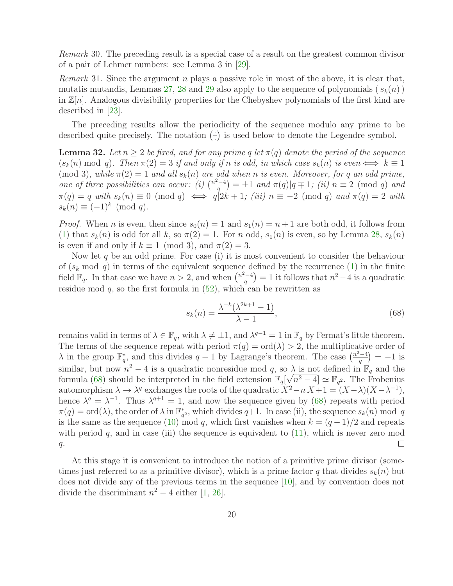*Remark* 30*.* The preceding result is a special case of a result on the greatest common divisor of a pair of Lehmer numbers: see Lemma 3 in [\[29\]](#page-37-0).

*Remark* 31. Since the argument n plays a passive role in most of the above, it is clear that, mutatis mutandis, Lemmas [27,](#page-17-1) [28](#page-17-2) and [29](#page-18-0) also apply to the sequence of polynomials  $(s_k(n))$ in  $\mathbb{Z}[n]$ . Analogous divisibility properties for the Chebyshev polynomials of the first kind are described in [\[23\]](#page-36-12).

<span id="page-19-0"></span>The preceding results allow the periodicity of the sequence modulo any prime to be described quite precisely. The notation  $\left(\frac{1}{2}\right)$  $\left(\frac{1}{x}\right)$  is used below to denote the Legendre symbol.

**Lemma 32.** Let  $n \geq 2$  be fixed, and for any prime q let  $\pi(q)$  denote the period of the sequence  $(s_k(n) \mod q)$ . Then  $\pi(2) = 3$  *if and only if* n *is odd, in which case*  $s_k(n)$  *is even*  $\iff k \equiv 1$ (mod 3), while  $\pi(2) = 1$  *and all*  $s_k(n)$  *are odd when n is even.* Moreover, for q *an odd prime*, *one of three possibilities can occur:* (i)  $\left(\frac{n^2-4}{q}\right) = \pm 1$  *and*  $\pi(q)|q \mp 1$ ; (ii)  $n \equiv 2 \pmod{q}$  *and*  $\pi(q) = q$  *with*  $s_k(n) \equiv 0 \pmod{q} \iff q|2k+1$ ; (iii)  $n \equiv -2 \pmod{q}$  and  $\pi(q) = 2$  *with*  $s_k(n) \equiv (-1)^k \pmod{q}.$ 

*Proof.* When *n* is even, then since  $s_0(n) = 1$  and  $s_1(n) = n + 1$  are both odd, it follows from [\(1\)](#page-1-1) that  $s_k(n)$  is odd for all k, so  $\pi(2) = 1$ . For n odd,  $s_1(n)$  is even, so by Lemma [28,](#page-17-2)  $s_k(n)$ is even if and only if  $k \equiv 1 \pmod{3}$ , and  $\pi(2) = 3$ .

Now let q be an odd prime. For case (i) it is most convenient to consider the behaviour of  $(s_k \mod q)$  in terms of the equivalent sequence defined by the recurrence  $(1)$  in the finite field  $\mathbb{F}_q$ . In that case we have  $n > 2$ , and when  $\left(\frac{n^2-4}{q}\right) = 1$  it follows that  $n^2-4$  is a quadratic residue mod  $q$ , so the first formula in  $(52)$ , which can be rewritten as

<span id="page-19-1"></span>
$$
s_k(n) = \frac{\lambda^{-k}(\lambda^{2k+1} - 1)}{\lambda - 1},
$$
\n(68)

remains valid in terms of  $\lambda \in \mathbb{F}_q$ , with  $\lambda \neq \pm 1$ , and  $\lambda^{q-1} = 1$  in  $\mathbb{F}_q$  by Fermat's little theorem. The terms of the sequence repeat with period  $\pi(q) = \text{ord}(\lambda) > 2$ , the multiplicative order of  $\lambda$  in the group  $\mathbb{F}_q^*$ , and this divides  $q-1$  by Lagrange's theorem. The case  $\left(\frac{n^2-4}{q}\right)=-1$  is similar, but now  $n^2 - 4$  is a quadratic nonresidue mod q, so  $\lambda$  is not defined in  $\mathbb{F}_q$  and the formula [\(68\)](#page-19-1) should be interpreted in the field extension  $\mathbb{F}_q[\sqrt{n^2-4}] \simeq \mathbb{F}_{q^2}$ . The Frobenius automorphism  $\lambda \to \lambda^q$  exchanges the roots of the quadratic  $X^2 - n X + 1 = (X - \lambda)(X - \lambda^{-1}),$ hence  $\lambda^q = \lambda^{-1}$ . Thus  $\lambda^{q+1} = 1$ , and now the sequence given by [\(68\)](#page-19-1) repeats with period  $\pi(q) = \text{ord}(\lambda)$ , the order of  $\lambda$  in  $\mathbb{F}_{q^2}^*$ , which divides  $q+1$ . In case (ii), the sequence  $s_k(n)$  mod q is the same as the sequence [\(10\)](#page-2-4) mod q, which first vanishes when  $k = (q-1)/2$  and repeats with period  $q$ , and in case (iii) the sequence is equivalent to  $(11)$ , which is never zero mod  $q$ .  $\Box$ 

At this stage it is convenient to introduce the notion of a primitive prime divisor (sometimes just referred to as a primitive divisor), which is a prime factor q that divides  $s_k(n)$  but does not divide any of the previous terms in the sequence [\[10\]](#page-35-3), and by convention does not divide the discriminant  $n^2 - 4$  either [\[1,](#page-35-2) [26\]](#page-36-3).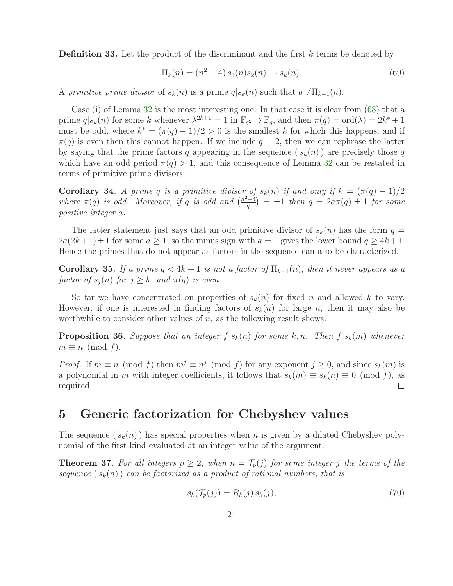**Definition 33.** Let the product of the discriminant and the first  $k$  terms be denoted by

<span id="page-20-3"></span>
$$
\Pi_k(n) = (n^2 - 4) s_1(n) s_2(n) \cdots s_k(n).
$$
 (69)

A *primitive prime divisor* of  $s_k(n)$  is a prime  $q|s_k(n)$  such that  $q/\prod_{k=1}(n)$ .

Case (i) of Lemma [32](#page-19-0) is the most interesting one. In that case it is clear from [\(68\)](#page-19-1) that a prime  $q|s_k(n)$  for some k whenever  $\lambda^{2k+1} = 1$  in  $\mathbb{F}_{q^2} \supset \mathbb{F}_q$ , and then  $\pi(q) = \text{ord}(\lambda) = 2k^* + 1$ must be odd, where  $k^* = (\pi(q) - 1)/2 > 0$  is the smallest k for which this happens; and if  $\pi(q)$  is even then this cannot happen. If we include  $q = 2$ , then we can rephrase the latter by saying that the prime factors q appearing in the sequence  $(s_k(n))$  are precisely those q which have an odd period  $\pi(q) > 1$ , and this consequence of Lemma [32](#page-19-0) can be restated in terms of primitive prime divisors.

Corollary 34. *A prime q is a primitive divisor of*  $s_k(n)$  *if and only if*  $k = (\pi(q) - 1)/2$ where  $\pi(q)$  is odd. Moreover, if q is odd and  $\left(\frac{n^2-4}{q}\right) = \pm 1$  then  $q = 2a\pi(q) \pm 1$  for some *positive integer* a*.*

The latter statement just says that an odd primitive divisor of  $s_k(n)$  has the form  $q =$  $2a(2k+1) \pm 1$  for some  $a \ge 1$ , so the minus sign with  $a = 1$  gives the lower bound  $q \ge 4k+1$ . Hence the primes that do not appear as factors in the sequence can also be characterized.

<span id="page-20-4"></span>Corollary 35. If a prime  $q < 4k + 1$  is not a factor of  $\Pi_{k-1}(n)$ , then it never appears as a *factor of*  $s_i(n)$  *for*  $j \geq k$ *, and*  $\pi(q)$  *is even.* 

So far we have concentrated on properties of  $s_k(n)$  for fixed n and allowed k to vary. However, if one is interested in finding factors of  $s_k(n)$  for large n, then it may also be worthwhile to consider other values of  $n$ , as the following result shows.

**Proposition 36.** Suppose that an integer  $f|s_k(n)$  for some k, n. Then  $f|s_k(m)$  whenever  $m \equiv n \pmod{f}$ .

*Proof.* If  $m \equiv n \pmod{f}$  then  $m^j \equiv n^j \pmod{f}$  for any exponent  $j \ge 0$ , and since  $s_k(m)$  is a polynomial in m with integer coefficients, it follows that  $s_k(m) \equiv s_k(n) \equiv 0 \pmod{f}$ , as required. required.

# <span id="page-20-0"></span>5 Generic factorization for Chebyshev values

<span id="page-20-1"></span>The sequence  $(s_k(n))$  has special properties when n is given by a dilated Chebyshev polynomial of the first kind evaluated at an integer value of the argument.

**Theorem 37.** For all integers  $p \geq 2$ , when  $n = \mathcal{T}_p(j)$  for some integer j the terms of the sequence  $(s_k(n))$  *can be factorized as a product of rational numbers, that is* 

<span id="page-20-2"></span>
$$
s_k(\mathcal{T}_p(j)) = R_k(j) s_k(j), \qquad (70)
$$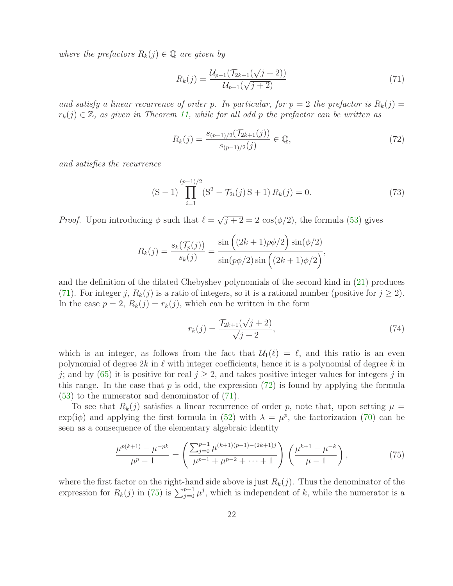*where the prefactors*  $R_k(j) \in \mathbb{Q}$  *are given by* 

<span id="page-21-2"></span><span id="page-21-1"></span>
$$
R_k(j) = \frac{\mathcal{U}_{p-1}(\mathcal{T}_{2k+1}(\sqrt{j+2}))}{\mathcal{U}_{p-1}(\sqrt{j+2})}
$$
\n(71)

and satisfy a linear recurrence of order p. In particular, for  $p = 2$  the prefactor is  $R_k(j) =$  $r_k(j) \in \mathbb{Z}$ , as given in Theorem [11,](#page-10-4) while for all odd p the prefactor can be written as

$$
R_k(j) = \frac{s_{(p-1)/2}(\mathcal{T}_{2k+1}(j))}{s_{(p-1)/2}(j)} \in \mathbb{Q},\tag{72}
$$

*and satisfies the recurrence*

<span id="page-21-4"></span>
$$
(S-1)\prod_{i=1}^{(p-1)/2} (S^2 - \mathcal{T}_{2i}(j) S + 1) R_k(j) = 0.
$$
 (73)

*Proof.* Upon introducing  $\phi$  such that  $\ell = \sqrt{j+2} = 2 \cos(\phi/2)$ , the formula [\(53\)](#page-13-0) gives

$$
R_k(j) = \frac{s_k(\mathcal{T}_p(j))}{s_k(j)} = \frac{\sin((2k+1)p\phi/2)\sin(\phi/2)}{\sin(p\phi/2)\sin((2k+1)\phi/2)},
$$

and the definition of the dilated Chebyshev polynomials of the second kind in [\(21\)](#page-6-0) produces [\(71\)](#page-21-1). For integer j,  $R_k(j)$  is a ratio of integers, so it is a rational number (positive for  $j \geq 2$ ). In the case  $p = 2$ ,  $R_k(j) = r_k(j)$ , which can be written in the form

<span id="page-21-3"></span><span id="page-21-0"></span>
$$
r_k(j) = \frac{\mathcal{T}_{2k+1}(\sqrt{j+2})}{\sqrt{j+2}},\tag{74}
$$

which is an integer, as follows from the fact that  $\mathcal{U}_1(\ell) = \ell$ , and this ratio is an even polynomial of degree  $2k$  in  $\ell$  with integer coefficients, hence it is a polynomial of degree k in j; and by [\(65\)](#page-16-2) it is positive for real  $j \geq 2$ , and takes positive integer values for integers j in this range. In the case that  $p$  is odd, the expression [\(72\)](#page-21-2) is found by applying the formula [\(53\)](#page-13-0) to the numerator and denominator of [\(71\)](#page-21-1).

To see that  $R_k(j)$  satisfies a linear recurrence of order p, note that, upon setting  $\mu =$  $\exp(i\phi)$  and applying the first formula in [\(52\)](#page-13-2) with  $\lambda = \mu^p$ , the factorization [\(70\)](#page-20-2) can be seen as a consequence of the elementary algebraic identity

$$
\frac{\mu^{p(k+1)} - \mu^{-pk}}{\mu^p - 1} = \left(\frac{\sum_{j=0}^{p-1} \mu^{(k+1)(p-1) - (2k+1)j}}{\mu^{p-1} + \mu^{p-2} + \dots + 1}\right) \left(\frac{\mu^{k+1} - \mu^{-k}}{\mu - 1}\right),\tag{75}
$$

where the first factor on the right-hand side above is just  $R_k(j)$ . Thus the denominator of the expression for  $R_k(j)$  in [\(75\)](#page-21-3) is  $\sum_{j=0}^{p-1} \mu^j$ , which is independent of k, while the numerator is a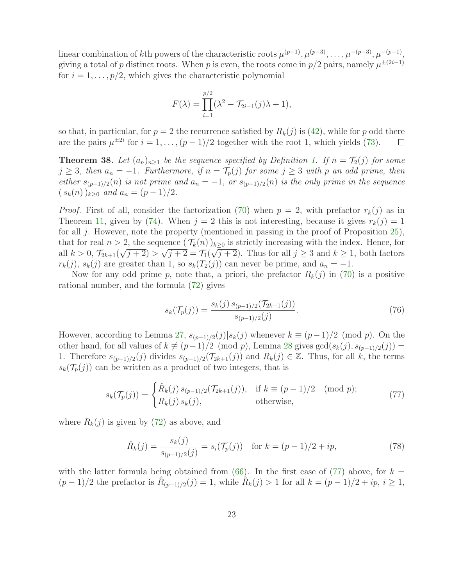linear combination of kth powers of the characteristic roots  $\mu^{(p-1)}, \mu^{(p-3)}, \ldots, \mu^{-(p-3)}, \mu^{-(p-1)},$ giving a total of p distinct roots. When p is even, the roots come in  $p/2$  pairs, namely  $\mu^{\pm(2i-1)}$ for  $i = 1, \ldots, p/2$ , which gives the characteristic polynomial

$$
F(\lambda) = \prod_{i=1}^{p/2} (\lambda^2 - \mathcal{T}_{2i-1}(j)\lambda + 1),
$$

so that, in particular, for  $p = 2$  the recurrence satisfied by  $R_k(j)$  is [\(42\)](#page-10-1), while for p odd there are the pairs  $\mu^{\pm 2i}$  for  $i = 1, ..., (p-1)/2$  together with the root 1, which yields [\(73\)](#page-21-4).  $\Box$ 

<span id="page-22-0"></span>**Theorem 38.** Let  $(a_n)_{n\geq 1}$  be the sequence specified by Definition [1.](#page-2-5) If  $n = \mathcal{T}_2(j)$  for some  $j \geq 3$ , then  $a_n = -1$ . Furthermore, if  $n = \mathcal{T}_p(j)$  for some  $j \geq 3$  with p an odd prime, then *either*  $s_{(p-1)/2}(n)$  *is not prime and*  $a_n = -1$ *, or*  $s_{(p-1)/2}(n)$  *is the only prime in the sequence*  $(s_k(n))_{k>0}$  *and*  $a_n = (p-1)/2$ .

*Proof.* First of all, consider the factorization [\(70\)](#page-20-2) when  $p = 2$ , with prefactor  $r_k(j)$  as in Theorem [11,](#page-10-4) given by [\(74\)](#page-21-0). When  $j = 2$  this is not interesting, because it gives  $r_k(j) = 1$ for all j. However, note the property (mentioned in passing in the proof of Proposition [25\)](#page-16-1), that for real  $n > 2$ , the sequence  $(\mathcal{T}_k(n))_{k>0}$  is strictly increasing with the index. Hence, for all  $k > 0$ ,  $\mathcal{T}_{2k+1}(\sqrt{j+2}) > \sqrt{j+2} = \mathcal{T}_1(\sqrt{j+2})$ . Thus for all  $j \ge 3$  and  $k \ge 1$ , both factors  $r_k(j)$ ,  $s_k(j)$  are greater than 1, so  $s_k(T_2(j))$  can never be prime, and  $a_n = -1$ .

Now for any odd prime p, note that, a priori, the prefactor  $R_k(j)$  in [\(70\)](#page-20-2) is a positive rational number, and the formula [\(72\)](#page-21-2) gives

<span id="page-22-2"></span><span id="page-22-1"></span>
$$
s_k(\mathcal{T}_p(j)) = \frac{s_k(j) s_{(p-1)/2}(\mathcal{T}_{2k+1}(j))}{s_{(p-1)/2}(j)}.
$$
\n(76)

However, according to Lemma [27,](#page-17-1)  $s_{(p-1)/2}(j)|s_k(j)$  whenever  $k \equiv (p-1)/2 \pmod{p}$ . On the other hand, for all values of  $k \neq (p-1)/2 \pmod{p}$ , Lemma [28](#page-17-2) gives  $gcd(s_k(j), s_{(p-1)/2}(j))$  = 1. Therefore  $s_{(p-1)/2}(j)$  divides  $s_{(p-1)/2}(\mathcal{T}_{2k+1}(j))$  and  $R_k(j) \in \mathbb{Z}$ . Thus, for all k, the terms  $s_k(\mathcal{T}_p(j))$  can be written as a product of two integers, that is

$$
s_k(\mathcal{T}_p(j)) = \begin{cases} \hat{R}_k(j) \, s_{(p-1)/2}(\mathcal{T}_{2k+1}(j)), & \text{if } k \equiv (p-1)/2 \pmod{p};\\ R_k(j) \, s_k(j), & \text{otherwise}, \end{cases} \tag{77}
$$

where  $R_k(j)$  is given by [\(72\)](#page-21-2) as above, and

<span id="page-22-3"></span>
$$
\hat{R}_k(j) = \frac{s_k(j)}{s_{(p-1)/2}(j)} = s_i(\mathcal{T}_p(j)) \quad \text{for } k = (p-1)/2 + ip,
$$
\n(78)

with the latter formula being obtained from  $(66)$ . In the first case of  $(77)$  above, for  $k =$  $(p-1)/2$  the prefactor is  $\hat{R}_{(p-1)/2}(j) = 1$ , while  $\hat{R}_k(j) > 1$  for all  $k = (p-1)/2 + ip$ ,  $i \ge 1$ ,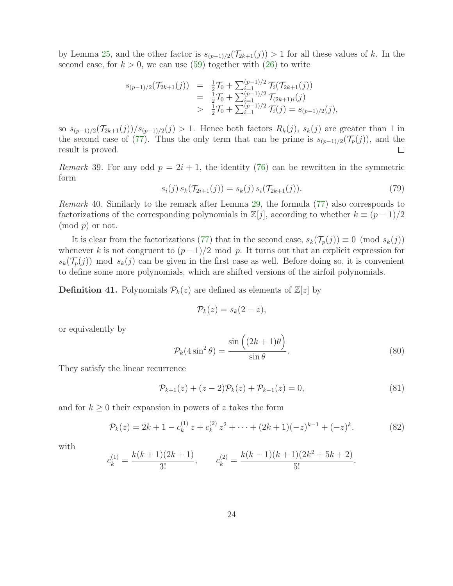by Lemma [25,](#page-16-1) and the other factor is  $s_{(p-1)/2}(\mathcal{T}_{2k+1}(j)) > 1$  for all these values of k. In the second case, for  $k > 0$ , we can use [\(59\)](#page-15-1) together with [\(26\)](#page-6-3) to write

$$
s_{(p-1)/2}(\mathcal{T}_{2k+1}(j)) = \frac{1}{2}\mathcal{T}_0 + \sum_{i=1}^{(p-1)/2}\mathcal{T}_i(\mathcal{T}_{2k+1}(j))
$$
  
\n
$$
= \frac{1}{2}\mathcal{T}_0 + \sum_{i=1}^{(p-1)/2}\mathcal{T}_{(2k+1)i}(j)
$$
  
\n
$$
> \frac{1}{2}\mathcal{T}_0 + \sum_{i=1}^{(p-1)/2}\mathcal{T}_i(j) = s_{(p-1)/2}(j),
$$

so  $s_{(p-1)/2}(\mathcal{T}_{2k+1}(j))/s_{(p-1)/2}(j) > 1$ . Hence both factors  $R_k(j)$ ,  $s_k(j)$  are greater than 1 in the second case of [\(77\)](#page-22-1). Thus the only term that can be prime is  $s_{(p-1)/2}(\mathcal{T}_p(j))$ , and the result is proved. result is proved.

*Remark* 39. For any odd  $p = 2i + 1$ , the identity [\(76\)](#page-22-2) can be rewritten in the symmetric form

$$
s_i(j) s_k(\mathcal{T}_{2i+1}(j)) = s_k(j) s_i(\mathcal{T}_{2k+1}(j)).
$$
\n(79)

*Remark* 40*.* Similarly to the remark after Lemma [29,](#page-18-0) the formula [\(77\)](#page-22-1) also corresponds to factorizations of the corresponding polynomials in  $\mathbb{Z}[j]$ , according to whether  $k \equiv (p-1)/2$  $\pmod{p}$  or not.

It is clear from the factorizations [\(77\)](#page-22-1) that in the second case,  $s_k(\mathcal{T}_p(j)) \equiv 0 \pmod{s_k(j)}$ whenever k is not congruent to  $(p-1)/2$  mod p. It turns out that an explicit expression for  $s_k(\mathcal{T}_p(j))$  mod  $s_k(j)$  can be given in the first case as well. Before doing so, it is convenient to define some more polynomials, which are shifted versions of the airfoil polynomials.

**Definition 41.** Polynomials  $\mathcal{P}_k(z)$  are defined as elements of  $\mathbb{Z}[z]$  by

$$
\mathcal{P}_k(z) = s_k(2-z),
$$

or equivalently by

<span id="page-23-1"></span>
$$
\mathcal{P}_k(4\sin^2\theta) = \frac{\sin\left((2k+1)\theta\right)}{\sin\theta}.\tag{80}
$$

They satisfy the linear recurrence

<span id="page-23-0"></span>
$$
\mathcal{P}_{k+1}(z) + (z-2)\mathcal{P}_k(z) + \mathcal{P}_{k-1}(z) = 0,
$$
\n(81)

and for  $k \geq 0$  their expansion in powers of z takes the form

$$
\mathcal{P}_k(z) = 2k + 1 - c_k^{(1)} z + c_k^{(2)} z^2 + \dots + (2k+1)(-z)^{k-1} + (-z)^k.
$$
 (82)

with

$$
c_k^{(1)} = \frac{k(k+1)(2k+1)}{3!}, \qquad c_k^{(2)} = \frac{k(k-1)(k+1)(2k^2+5k+2)}{5!}.
$$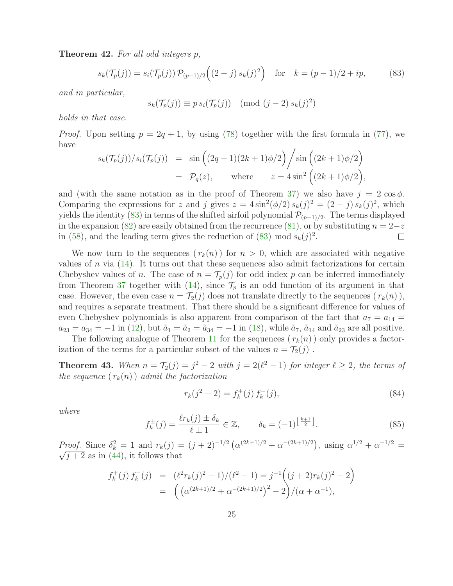Theorem 42. *For all odd integers* p*,*

$$
s_k(\mathcal{T}_p(j)) = s_i(\mathcal{T}_p(j)) \mathcal{P}_{(p-1)/2} \left( (2-j) s_k(j)^2 \right) \quad \text{for} \quad k = (p-1)/2 + ip,\tag{83}
$$

*and in particular,*

<span id="page-24-0"></span>
$$
s_k(\mathcal{T}_p(j)) \equiv p \, s_i(\mathcal{T}_p(j)) \pmod{(j-2) \, s_k(j)^2}
$$

*holds in that case.*

*Proof.* Upon setting  $p = 2q + 1$ , by using [\(78\)](#page-22-3) together with the first formula in [\(77\)](#page-22-1), we have

$$
s_k(\mathcal{T}_p(j))/s_i(\mathcal{T}_p(j)) = \sin\left((2q+1)(2k+1)\phi/2\right) / \sin\left((2k+1)\phi/2\right)
$$
  
=  $\mathcal{P}_q(z)$ , where  $z = 4\sin^2\left((2k+1)\phi/2\right)$ ,

and (with the same notation as in the proof of Theorem [37\)](#page-20-1) we also have  $j = 2 \cos \phi$ . Comparing the expressions for z and j gives  $z = 4 \sin^2(\phi/2) s_k(j)^2 = (2 - j) s_k(j)^2$ , which yields the identity [\(83\)](#page-24-0) in terms of the shifted airfoil polynomial  $\mathcal{P}_{(p-1)/2}$ . The terms displayed in the expansion [\(82\)](#page-23-0) are easily obtained from the recurrence [\(81\)](#page-23-1), or by substituting  $n = 2-z$ <br>in (58), and the leading term gives the reduction of (83) mod  $s_k(i)^2$ . □ in [\(58\)](#page-14-3), and the leading term gives the reduction of [\(83\)](#page-24-0) mod  $s_k(j)^2$ .

We now turn to the sequences  $(r_k(n))$  for  $n > 0$ , which are associated with negative values of n via  $(14)$ . It turns out that these sequences also admit factorizations for certain Chebyshev values of n. The case of  $n = \mathcal{T}_p(j)$  for odd index p can be inferred immediately from Theorem [37](#page-20-1) together with [\(14\)](#page-3-0), since  $\mathcal{T}_p$  is an odd function of its argument in that case. However, the even case  $n = \mathcal{T}_2(j)$  does not translate directly to the sequences  $(r_k(n))$ , and requires a separate treatment. That there should be a significant difference for values of even Chebyshev polynomials is also apparent from comparison of the fact that  $a_7 = a_{14}$  $a_{23} = a_{34} = -1$  in [\(12\)](#page-3-3), but  $\tilde{a}_1 = \tilde{a}_2 = \tilde{a}_{34} = -1$  in [\(18\)](#page-4-0), while  $\tilde{a}_7$ ,  $\tilde{a}_{14}$  and  $\tilde{a}_{23}$  are all positive.

The following analogue of Theorem [11](#page-10-4) for the sequences  $(r_k(n))$  only provides a factorization of the terms for a particular subset of the values  $n = \mathcal{T}_2(j)$ .

**Theorem 43.** When  $n = \mathcal{T}_2(j) = j^2 - 2$  with  $j = 2(\ell^2 - 1)$  for integer  $\ell \geq 2$ , the terms of *the sequence*  $(r_k(n))$  *admit the factorization* 

<span id="page-24-2"></span>
$$
r_k(j^2 - 2) = f_k^+(j) f_k^-(j),
$$
\n(84)

<span id="page-24-1"></span>*where*

$$
f_k^{\pm}(j) = \frac{\ell r_k(j) \pm \delta_k}{\ell \pm 1} \in \mathbb{Z}, \qquad \delta_k = (-1)^{\left\lfloor \frac{k+1}{2} \right\rfloor}.
$$
 (85)

*Proof.* Since  $\delta_k^2 = 1$  and  $r_k(j) = (j + 2)^{-1/2} \left( \alpha^{(2k+1)/2} + \alpha^{-(2k+1)/2} \right)$ , using  $\alpha^{1/2} + \alpha^{-1/2} = \sqrt{j+2}$  as in  $(44)$  it follows that  $\sqrt{j+2}$  as in [\(44\)](#page-10-3), it follows that

$$
f_k^+(j) f_k^-(j) = (\ell^2 r_k(j)^2 - 1) / (\ell^2 - 1) = j^{-1} ((j + 2)r_k(j)^2 - 2)
$$
  
= 
$$
((\alpha^{(2k+1)/2} + \alpha^{-(2k+1)/2})^2 - 2) / (\alpha + \alpha^{-1}),
$$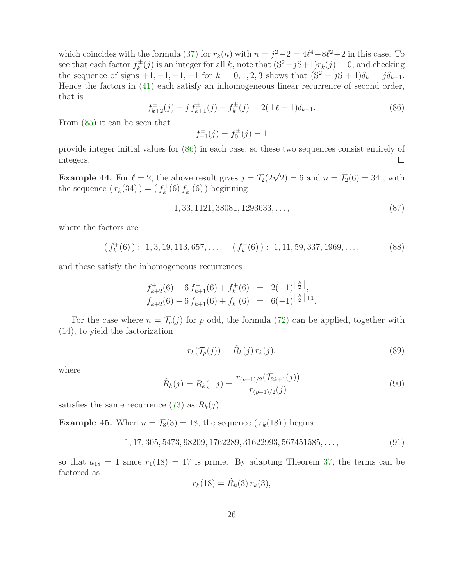which coincides with the formula [\(37\)](#page-8-3) for  $r_k(n)$  with  $n = j^2 - 2 = 4\ell^4 - 8\ell^2 + 2$  in this case. To see that each factor  $f_k^{\pm}(j)$  is an integer for all k, note that  $(S^2 - jS + 1)r_k(j) = 0$ , and checking the sequence of signs  $+1, -1, -1, +1$  for  $k = 0, 1, 2, 3$  shows that  $(S^2 - jS + 1)\delta_k = j\delta_{k-1}$ . Hence the factors in [\(41\)](#page-10-0) each satisfy an inhomogeneous linear recurrence of second order, that is

$$
f_{k+2}^{\pm}(j) - j f_{k+1}^{\pm}(j) + f_k^{\pm}(j) = 2(\pm \ell - 1)\delta_{k-1}.
$$
 (86)

<span id="page-25-0"></span>From [\(85\)](#page-24-1) it can be seen that

$$
f_{-1}^{\pm}(j) = f_0^{\pm}(j) = 1
$$

provide integer initial values for [\(86\)](#page-25-0) in each case, so these two sequences consist entirely of integers.  $\Box$ 

**Example 44.** For  $\ell = 2$ , the above result gives  $j = \mathcal{T}_2(2\sqrt{2}) = 6$  and  $n = \mathcal{T}_2(6) = 34$ , with the sequence  $(r_k(34)) = (f_k^+$  $\chi_k^+(6) f_k^-(6)$  beginning

$$
1, 33, 1121, 38081, 1293633, \dots, \tag{87}
$$

where the factors are

$$
(f_k^+(6)): 1,3,19,113,657,\ldots, \quad (f_k^-(6)): 1,11,59,337,1969,\ldots,\tag{88}
$$

and these satisfy the inhomogeneous recurrences

$$
f_{k+2}^{+}(6) - 6 f_{k+1}^{+}(6) + f_k^{+}(6) = 2(-1)^{\lfloor \frac{k}{2} \rfloor}, f_{k+2}^{-}(6) - 6 f_{k+1}^{-}(6) + f_k^{-}(6) = 6(-1)^{\lfloor \frac{k}{2} \rfloor + 1}.
$$

For the case where  $n = \mathcal{T}_p(j)$  for p odd, the formula [\(72\)](#page-21-2) can be applied, together with [\(14\)](#page-3-0), to yield the factorization

<span id="page-25-1"></span>
$$
r_k(\mathcal{T}_p(j)) = \tilde{R}_k(j) r_k(j), \tag{89}
$$

<span id="page-25-2"></span>where

$$
\tilde{R}_k(j) = R_k(-j) = \frac{r_{(p-1)/2}(\mathcal{T}_{2k+1}(j))}{r_{(p-1)/2}(j)}
$$
\n(90)

satisfies the same recurrence [\(73\)](#page-21-4) as  $R_k(j)$ .

**Example 45.** When  $n = T_3(3) = 18$ , the sequence  $(r_k(18))$  begins

$$
1, 17, 305, 5473, 98209, 1762289, 31622993, 567451585, \dots,
$$
\n
$$
(91)
$$

so that  $\tilde{a}_{18} = 1$  since  $r_1(18) = 17$  is prime. By adapting Theorem [37,](#page-20-1) the terms can be factored as

$$
r_k(18) = \tilde{R}_k(3) r_k(3),
$$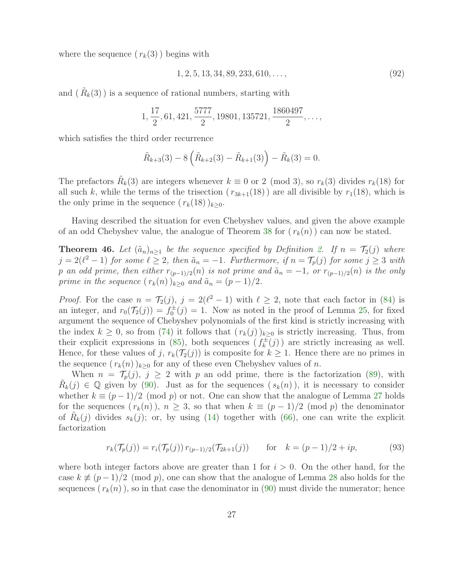where the sequence  $(r_k(3))$  begins with

$$
1, 2, 5, 13, 34, 89, 233, 610, \dots, \tag{92}
$$

and  $(\tilde{R}_k(3))$  is a sequence of rational numbers, starting with

$$
1, \frac{17}{2}, 61, 421, \frac{5777}{2}, 19801, 135721, \frac{1860497}{2}, \ldots,
$$

which satisfies the third order recurrence

$$
\tilde{R}_{k+3}(3) - 8\left(\tilde{R}_{k+2}(3) - \tilde{R}_{k+1}(3)\right) - \tilde{R}_{k}(3) = 0.
$$

The prefactors  $\tilde{R}_k(3)$  are integers whenever  $k \equiv 0$  or 2 (mod 3), so  $r_k(3)$  divides  $r_k(18)$  for all such k, while the terms of the trisection  $(r_{3k+1}(18))$  are all divisible by  $r_1(18)$ , which is the only prime in the sequence  $(r_k(18))_{k\geq 0}$ .

<span id="page-26-0"></span>Having described the situation for even Chebyshev values, and given the above example of an odd Chebyshev value, the analogue of Theorem [38](#page-22-0) for  $(r_k(n))$  can now be stated.

**Theorem 46.** Let  $(\tilde{a}_n)_{n>1}$  be the sequence specified by Definition [2.](#page-3-5) If  $n = \mathcal{T}_2(j)$  where  $j = 2(\ell^2 - 1)$  for some  $\ell \geq 2$ , then  $\tilde{a}_n = -1$ . Furthermore, if  $n = \mathcal{T}_p(j)$  for some  $j \geq 3$  with p an odd prime, then either  $r_{(p-1)/2}(n)$  is not prime and  $\tilde{a}_n = -1$ , or  $r_{(p-1)/2}(n)$  is the only *prime in the sequence*  $(r_k(n))_{k>0}$  *and*  $\tilde{a}_n = (p-1)/2$ *.* 

*Proof.* For the case  $n = \mathcal{T}_2(j)$ ,  $j = 2(\ell^2 - 1)$  with  $\ell \geq 2$ , note that each factor in [\(84\)](#page-24-2) is an integer, and  $r_0(\mathcal{T}_2(j)) = f_0^{\pm}(j) = 1$ . Now as noted in the proof of Lemma [25,](#page-16-1) for fixed argument the sequence of Chebyshev polynomials of the first kind is strictly increasing with the index  $k \geq 0$ , so from [\(74\)](#page-21-0) it follows that  $(r_k(j))_{k\geq 0}$  is strictly increasing. Thus, from their explicit expressions in [\(85\)](#page-24-1), both sequences  $(f_k^{\pm}(j))$  are strictly increasing as well. Hence, for these values of j,  $r_k(\mathcal{T}_2(j))$  is composite for  $k \geq 1$ . Hence there are no primes in the sequence  $(r_k(n))_{k>0}$  for any of these even Chebyshev values of n.

When  $n = \mathcal{T}_p(j), j \geq 2$  with p an odd prime, there is the factorization [\(89\)](#page-25-1), with  $\tilde{R}_k(j) \in \mathbb{Q}$  given by [\(90\)](#page-25-2). Just as for the sequences  $(s_k(n))$ , it is necessary to consider whether  $k \equiv (p-1)/2 \pmod{p}$  or not. One can show that the analogue of Lemma [27](#page-17-1) holds for the sequences  $(r_k(n))$ ,  $n \geq 3$ , so that when  $k \equiv (p-1)/2 \pmod{p}$  the denominator of  $\tilde{R}_k(j)$  divides  $s_k(j)$ ; or, by using [\(14\)](#page-3-0) together with [\(66\)](#page-17-3), one can write the explicit factorization

$$
r_k(\mathcal{T}_p(j)) = r_i(\mathcal{T}_p(j)) \, r_{(p-1)/2}(\mathcal{T}_{2k+1}(j)) \qquad \text{for} \quad k = (p-1)/2 + ip,
$$
 (93)

where both integer factors above are greater than 1 for  $i > 0$ . On the other hand, for the case  $k \not\equiv (p-1)/2 \pmod{p}$ , one can show that the analogue of Lemma [28](#page-17-2) also holds for the sequences  $(r_k(n))$ , so in that case the denominator in [\(90\)](#page-25-2) must divide the numerator; hence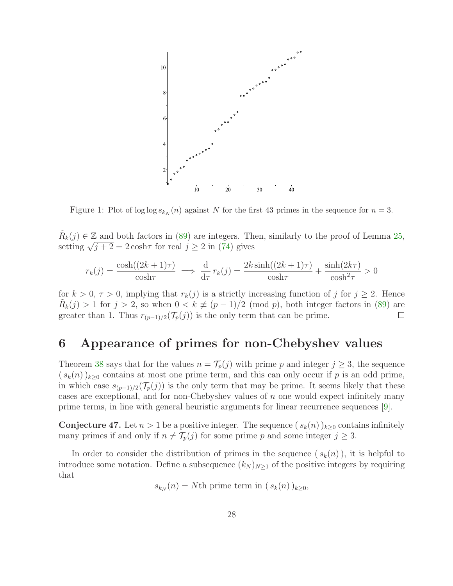

<span id="page-27-0"></span>Figure 1: Plot of log log  $s_{k_N}(n)$  against N for the first 43 primes in the sequence for  $n = 3$ .

 $\tilde{R}_k(j) \in \mathbb{Z}$  and both factors in [\(89\)](#page-25-1) are integers. Then, similarly to the proof of Lemma [25,](#page-16-1) setting  $\sqrt{j+2} = 2 \cosh \tau$  for real  $j \ge 2$  in [\(74\)](#page-21-0) gives

$$
r_k(j) = \frac{\cosh((2k+1)\tau)}{\cosh \tau} \implies \frac{d}{d\tau} r_k(j) = \frac{2k \sinh((2k+1)\tau)}{\cosh \tau} + \frac{\sinh(2k\tau)}{\cosh^2 \tau} > 0
$$

for  $k > 0$ ,  $\tau > 0$ , implying that  $r_k(j)$  is a strictly increasing function of j for  $j \ge 2$ . Hence  $\tilde{R}_k(j) > 1$  for  $j > 2$ , so when  $0 < k \neq (p-1)/2$  (mod p), both integer factors in [\(89\)](#page-25-1) are greater than 1. Thus  $r_{(p-1)/2}(\mathcal{T}_p(j))$  is the only term that can be prime.

#### 6 Appearance of primes for non-Chebyshev values

Theorem [38](#page-22-0) says that for the values  $n = \mathcal{T}_p(j)$  with prime p and integer  $j \geq 3$ , the sequence  $(s_k(n))_{k\geq 0}$  contains at most one prime term, and this can only occur if p is an odd prime, in which case  $s_{(p-1)/2}(\mathcal{T}_p(j))$  is the only term that may be prime. It seems likely that these cases are exceptional, and for non-Chebyshev values of  $n$  one would expect infinitely many prime terms, in line with general heuristic arguments for linear recurrence sequences [\[9\]](#page-35-6).

**Conjecture 47.** Let  $n > 1$  be a positive integer. The sequence  $(s_k(n))_{k>0}$  contains infinitely many primes if and only if  $n \neq T_p(j)$  for some prime p and some integer  $j \geq 3$ .

In order to consider the distribution of primes in the sequence  $(s_k(n))$ , it is helpful to introduce some notation. Define a subsequence  $(k_N)_{N\geq 1}$  of the positive integers by requiring that

 $s_{k_N}(n) = N$ th prime term in  $(s_k(n))_{k \geq 0}$ ,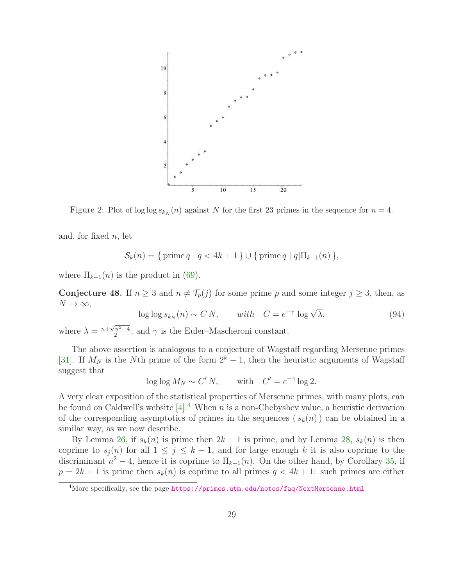

<span id="page-28-2"></span>Figure 2: Plot of log log  $s_{k_N}(n)$  against N for the first 23 primes in the sequence for  $n = 4$ .

and, for fixed  $n$ , let

$$
S_k(n) = \{ \text{prime } q \mid q < 4k + 1 \} \cup \{ \text{prime } q \mid q \mid \Pi_{k-1}(n) \},
$$

where  $\Pi_{k-1}(n)$  is the product in [\(69\)](#page-20-3).

<span id="page-28-1"></span>**Conjecture 48.** If  $n \geq 3$  and  $n \neq \mathcal{T}_p(j)$  for some prime p and some integer  $j \geq 3$ , then, as  $N \to \infty$ ,

$$
\log \log s_{k_N}(n) \sim C N, \quad \text{with} \quad C = e^{-\gamma} \log \sqrt{\lambda}, \tag{94}
$$

where  $\lambda = \frac{n + \sqrt{n^2 - 4}}{2}$ , and  $\gamma$  is the Euler–Mascheroni constant.

The above assertion is analogous to a conjecture of Wagstaff regarding Mersenne primes [\[31\]](#page-37-3). If  $M_N$  is the Nth prime of the form  $2^k - 1$ , then the heuristic arguments of Wagstaff suggest that

$$
\log \log M_N \sim C' N, \quad \text{with} \quad C' = e^{-\gamma} \log 2.
$$

A very clear exposition of the statistical properties of Mersenne primes, with many plots, can be found on Caldwell's website  $[4]$  $[4]$  $[4]$ .<sup>4</sup> When n is a non-Chebyshev value, a heuristic derivation of the corresponding asymptotics of primes in the sequences  $(s_k(n))$  can be obtained in a similar way, as we now describe.

By Lemma [26,](#page-17-0) if  $s_k(n)$  is prime then  $2k + 1$  is prime, and by Lemma [28,](#page-17-2)  $s_k(n)$  is then coprime to  $s_j(n)$  for all  $1 \leq j \leq k-1$ , and for large enough k it is also coprime to the discriminant  $n^2 - 4$ , hence it is coprime to  $\Pi_{k-1}(n)$ . On the other hand, by Corollary [35,](#page-20-4) if  $p = 2k + 1$  is prime then  $s_k(n)$  is coprime to all primes  $q < 4k + 1$ : such primes are either

<span id="page-28-0"></span><sup>&</sup>lt;sup>4</sup>More specifically, see the page <https://primes.utm.edu/notes/faq/NextMersenne.html>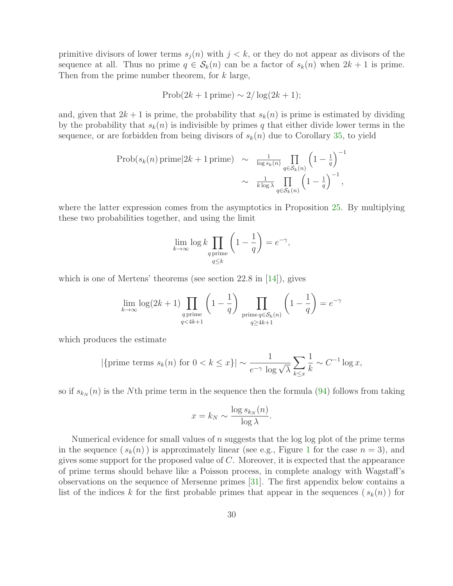primitive divisors of lower terms  $s_i(n)$  with  $j < k$ , or they do not appear as divisors of the sequence at all. Thus no prime  $q \in S_k(n)$  can be a factor of  $s_k(n)$  when  $2k+1$  is prime. Then from the prime number theorem, for k large,

$$
Prob(2k+1 \text{ prime}) \sim 2/\log(2k+1);
$$

and, given that  $2k + 1$  is prime, the probability that  $s_k(n)$  is prime is estimated by dividing by the probability that  $s_k(n)$  is indivisible by primes q that either divide lower terms in the sequence, or are forbidden from being divisors of  $s_k(n)$  due to Corollary [35,](#page-20-4) to yield

$$
\text{Prob}(s_k(n)\,\text{prime}|2k+1\,\text{prime}) \sim \frac{1}{\log s_k(n)} \prod_{q \in \mathcal{S}_k(n)} \left(1 - \frac{1}{q}\right)^{-1}
$$

$$
\sim \frac{1}{k \log \lambda} \prod_{q \in \mathcal{S}_k(n)} \left(1 - \frac{1}{q}\right)^{-1},
$$

where the latter expression comes from the asymptotics in Proposition [25.](#page-16-1) By multiplying these two probabilities together, and using the limit

$$
\lim_{k \to \infty} \log k \prod_{\substack{q \text{ prime} \\ q \le k}} \left( 1 - \frac{1}{q} \right) = e^{-\gamma},
$$

which is one of Mertens' theorems (see section 22.8 in [\[14\]](#page-36-13)), gives

$$
\lim_{k \to \infty} \log(2k+1) \prod_{\substack{q \text{ prime} \\ q < 4k+1}} \left(1 - \frac{1}{q}\right) \prod_{\substack{\text{prime} \ q \in \mathcal{S}_k(n) \\ q \ge 4k+1}} \left(1 - \frac{1}{q}\right) = e^{-\gamma}
$$

which produces the estimate

$$
|\{\text{prime terms } s_k(n) \text{ for } 0 < k \le x\}| \sim \frac{1}{e^{-\gamma} \log \sqrt{\lambda}} \sum_{k \le x} \frac{1}{k} \sim C^{-1} \log x,
$$

so if  $s_{k_N}(n)$  is the Nth prime term in the sequence then the formula [\(94\)](#page-28-1) follows from taking

$$
x = k_N \sim \frac{\log s_{k_N}(n)}{\log \lambda}.
$$

Numerical evidence for small values of  $n$  suggests that the log log plot of the prime terms in the sequence  $(s_k(n))$  is approximately linear (see e.g., Figure [1](#page-27-0) for the case  $n = 3$ ), and gives some support for the proposed value of  $C$ . Moreover, it is expected that the appearance of prime terms should behave like a Poisson process, in complete analogy with Wagstaff's observations on the sequence of Mersenne primes [\[31\]](#page-37-3). The first appendix below contains a list of the indices k for the first probable primes that appear in the sequences  $(s_k(n))$  for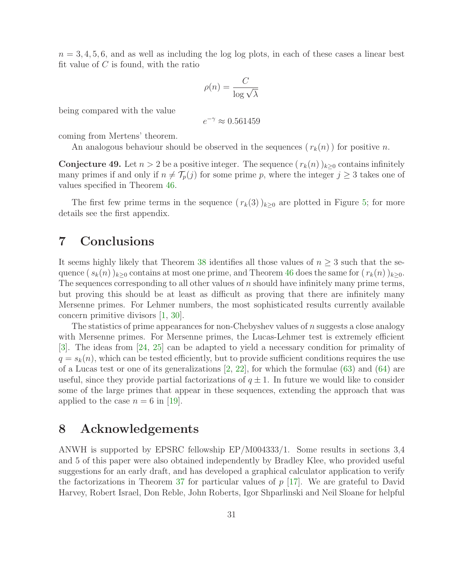$n = 3, 4, 5, 6$ , and as well as including the log log plots, in each of these cases a linear best fit value of  $C$  is found, with the ratio

$$
\rho(n) = \frac{C}{\log \sqrt{\lambda}}
$$

being compared with the value

$$
e^{-\gamma} \approx 0.561459
$$

coming from Mertens' theorem.

An analogous behaviour should be observed in the sequences  $(r_k(n))$  for positive n.

**Conjecture 49.** Let  $n > 2$  be a positive integer. The sequence  $(r_k(n))_{k>0}$  contains infinitely many primes if and only if  $n \neq \mathcal{T}_p(j)$  for some prime p, where the integer  $j \geq 3$  takes one of values specified in Theorem [46.](#page-26-0)

The first few prime terms in the sequence  $(r_k(3))_{k\geq 0}$  are plotted in Figure [5;](#page-33-0) for more details see the first appendix.

#### 7 Conclusions

It seems highly likely that Theorem [38](#page-22-0) identifies all those values of  $n \geq 3$  such that the sequence  $(s_k(n))_{k>0}$  contains at most one prime, and Theorem [46](#page-26-0) does the same for  $(r_k(n))_{k>0}$ . The sequences corresponding to all other values of  $n$  should have infinitely many prime terms, but proving this should be at least as difficult as proving that there are infinitely many Mersenne primes. For Lehmer numbers, the most sophisticated results currently available concern primitive divisors [\[1,](#page-35-2) [30\]](#page-37-4).

The statistics of prime appearances for non-Chebyshev values of n suggests a close analogy with Mersenne primes. For Mersenne primes, the Lucas-Lehmer test is extremely efficient [\[3\]](#page-35-10). The ideas from [\[24,](#page-36-14) [25\]](#page-36-2) can be adapted to yield a necessary condition for primality of  $q = s_k(n)$ , which can be tested efficiently, but to provide sufficient conditions requires the use of a Lucas test or one of its generalizations  $[2, 22]$  $[2, 22]$ , for which the formulae  $(63)$  and  $(64)$  are useful, since they provide partial factorizations of  $q \pm 1$ . In future we would like to consider some of the large primes that appear in these sequences, extending the approach that was applied to the case  $n = 6$  in [\[19\]](#page-36-4).

#### 8 Acknowledgements

ANWH is supported by EPSRC fellowship EP/M004333/1. Some results in sections 3,4 and 5 of this paper were also obtained independently by Bradley Klee, who provided useful suggestions for an early draft, and has developed a graphical calculator application to verify the factorizations in Theorem [37](#page-20-1) for particular values of  $p$  [\[17\]](#page-36-15). We are grateful to David Harvey, Robert Israel, Don Reble, John Roberts, Igor Shparlinski and Neil Sloane for helpful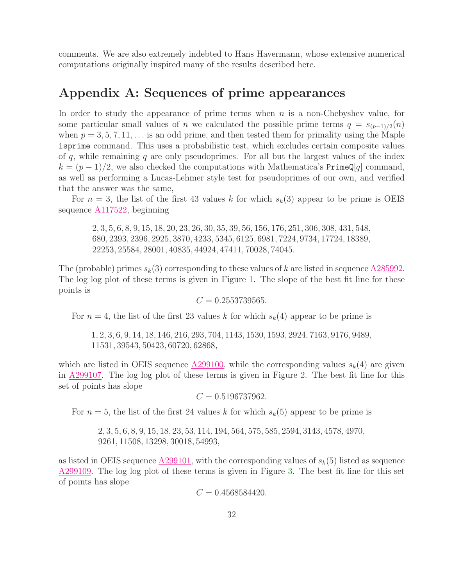comments. We are also extremely indebted to Hans Havermann, whose extensive numerical computations originally inspired many of the results described here.

### Appendix A: Sequences of prime appearances

In order to study the appearance of prime terms when  $n$  is a non-Chebyshev value, for some particular small values of n we calculated the possible prime terms  $q = s_{(p-1)/2}(n)$ when  $p = 3, 5, 7, 11, \ldots$  is an odd prime, and then tested them for primality using the Maple isprime command. This uses a probabilistic test, which excludes certain composite values of  $q$ , while remaining  $q$  are only pseudoprimes. For all but the largest values of the index  $k = (p-1)/2$ , we also checked the computations with Mathematica's PrimeQ[q] command, as well as performing a Lucas-Lehmer style test for pseudoprimes of our own, and verified that the answer was the same,

For  $n = 3$ , the list of the first 43 values k for which  $s_k(3)$  appear to be prime is OEIS sequence [A117522,](https://oeis.org/A117522) beginning

2, 3, 5, 6, 8, 9, 15, 18, 20, 23, 26, 30, 35, 39, 56, 156, 176, 251, 306, 308, 431, 548, 680, 2393, 2396, 2925, 3870, 4233, 5345, 6125, 6981, 7224, 9734, 17724, 18389, 22253, 25584, 28001, 40835, 44924, 47411, 70028, 74045.

The (probable) primes  $s_k(3)$  corresponding to these values of k are listed in sequence [A285992.](https://oeis.org/A285992) The log log plot of these terms is given in Figure [1.](#page-27-0) The slope of the best fit line for these points is

$$
C = 0.2553739565.
$$

For  $n = 4$ , the list of the first 23 values k for which  $s_k(4)$  appear to be prime is

1, 2, 3, 6, 9, 14, 18, 146, 216, 293, 704, 1143, 1530, 1593, 2924, 7163, 9176, 9489, 11531, 39543, 50423, 60720, 62868,

which are listed in OEIS sequence  $\underline{A299100}$ , while the corresponding values  $s_k(4)$  are given in [A299107.](https://oeis.org/A299107) The log log plot of these terms is given in Figure [2.](#page-28-2) The best fit line for this set of points has slope

$$
C = 0.5196737962.
$$

For  $n = 5$ , the list of the first 24 values k for which  $s_k(5)$  appear to be prime is

2, 3, 5, 6, 8, 9, 15, 18, 23, 53, 114, 194, 564, 575, 585, 2594, 3143, 4578, 4970, 9261, 11508, 13298, 30018, 54993,

as listed in OEIS sequence [A299101,](https://oeis.org/A299101) with the corresponding values of  $s_k(5)$  listed as sequence [A299109.](https://oeis.org/A299109) The log log plot of these terms is given in Figure [3.](#page-32-0) The best fit line for this set of points has slope

 $C = 0.4568584420.$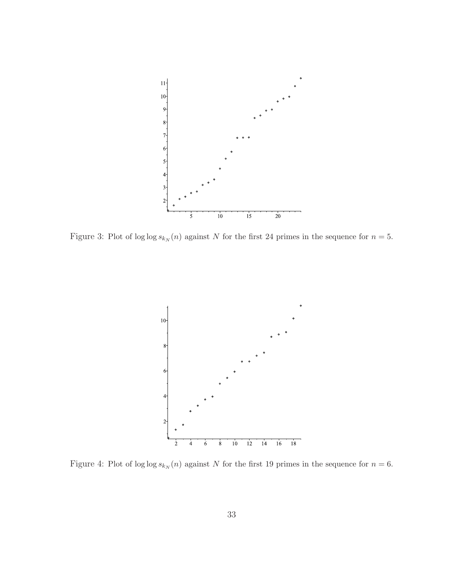

<span id="page-32-0"></span>Figure 3: Plot of log log  $s_{k_N}(n)$  against N for the first 24 primes in the sequence for  $n = 5$ .



<span id="page-32-1"></span>Figure 4: Plot of log log  $s_{k_N}(n)$  against N for the first 19 primes in the sequence for  $n = 6$ .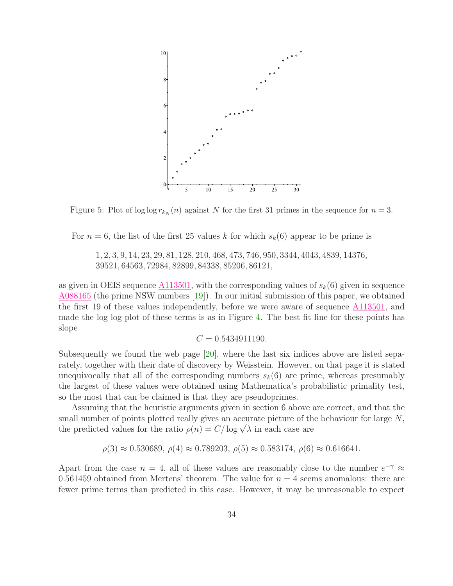

<span id="page-33-0"></span>Figure 5: Plot of log log  $r_{k_N}(n)$  against N for the first 31 primes in the sequence for  $n = 3$ .

For  $n = 6$ , the list of the first 25 values k for which  $s_k(6)$  appear to be prime is

1, 2, 3, 9, 14, 23, 29, 81, 128, 210, 468, 473, 746, 950, 3344, 4043, 4839, 14376, 39521, 64563, 72984, 82899, 84338, 85206, 86121,

as given in OEIS sequence  $\underline{\text{A113501}}$ , with the corresponding values of  $s_k(6)$  given in sequence [A088165](https://oeis.org/A088165) (the prime NSW numbers [\[19\]](#page-36-4)). In our initial submission of this paper, we obtained the first 19 of these values independently, before we were aware of sequence [A113501,](https://oeis.org/A113501) and made the log log plot of these terms is as in Figure [4.](#page-32-1) The best fit line for these points has slope

$$
C = 0.5434911190.
$$

Subsequently we found the web page [\[20\]](#page-36-16), where the last six indices above are listed separately, together with their date of discovery by Weisstein. However, on that page it is stated unequivocally that all of the corresponding numbers  $s_k(6)$  are prime, whereas presumably the largest of these values were obtained using Mathematica's probabilistic primality test, so the most that can be claimed is that they are pseudoprimes.

Assuming that the heuristic arguments given in section 6 above are correct, and that the small number of points plotted really gives an accurate picture of the behaviour for large N, the predicted values for the ratio  $\rho(n) = C/\log \sqrt{\lambda}$  in each case are

 $\rho(3) \approx 0.530689, \rho(4) \approx 0.789203, \rho(5) \approx 0.583174, \rho(6) \approx 0.616641.$ 

Apart from the case  $n = 4$ , all of these values are reasonably close to the number  $e^{-\gamma} \approx$ 0.561459 obtained from Mertens' theorem. The value for  $n = 4$  seems anomalous: there are fewer prime terms than predicted in this case. However, it may be unreasonable to expect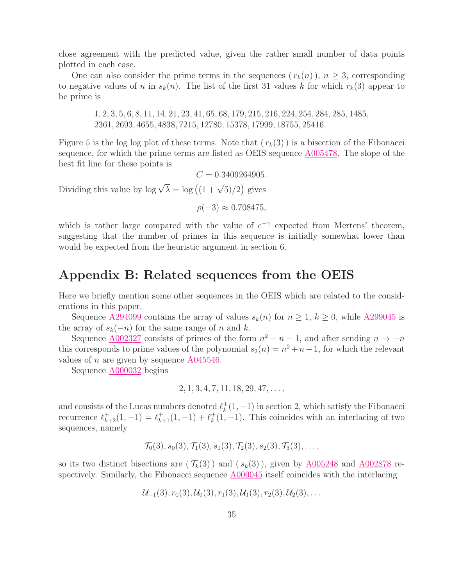close agreement with the predicted value, given the rather small number of data points plotted in each case.

One can also consider the prime terms in the sequences  $(r_k(n))$ ,  $n \geq 3$ , corresponding to negative values of n in  $s_k(n)$ . The list of the first 31 values k for which  $r_k(3)$  appear to be prime is

1, 2, 3, 5, 6, 8, 11, 14, 21, 23, 41, 65, 68, 179, 215, 216, 224, 254, 284, 285, 1485, 2361, 2693, 4655, 4838, 7215, 12780, 15378, 17999, 18755, 25416.

Figure [5](#page-33-0) is the log log plot of these terms. Note that  $(r_k(3))$  is a bisection of the Fibonacci sequence, for which the prime terms are listed as OEIS sequence [A005478.](https://oeis.org/A005478) The slope of the best fit line for these points is

 $C = 0.3409264905.$ 

Dividing this value by  $\log \sqrt{\lambda} = \log \left( \frac{1 + \sqrt{5}}{2} \right)$  gives

 $\rho(-3) \approx 0.708475$ ,

which is rather large compared with the value of  $e^{-\gamma}$  expected from Mertens' theorem, suggesting that the number of primes in this sequence is initially somewhat lower than would be expected from the heuristic argument in section 6.

### Appendix B: Related sequences from the OEIS

Here we briefly mention some other sequences in the OEIS which are related to the considerations in this paper.

Sequence  $\underline{A294099}$  $\underline{A294099}$  $\underline{A294099}$  contains the array of values  $s_k(n)$  for  $n \geq 1, k \geq 0$ , while  $\underline{A299045}$  $\underline{A299045}$  $\underline{A299045}$  is the array of  $s_k(-n)$  for the same range of n and k.

Sequence  $\underline{A002327}$  $\underline{A002327}$  $\underline{A002327}$  consists of primes of the form  $n^2 - n - 1$ , and after sending  $n \to -n$ this corresponds to prime values of the polynomial  $s_2(n) = n^2 + n - 1$ , for which the relevant values of n are given by sequence [A045546.](https://oeis.org/A045546)

Sequence [A000032](https://oeis.org/A000032) begins

$$
2, 1, 3, 4, 7, 11, 18, 29, 47, \ldots,
$$

and consists of the Lucas numbers denoted  $\ell_k^+$  $\frac{1}{k}(1,-1)$  in section 2, which satisfy the Fibonacci recurrence  $\ell_{k+2}^+(1, -1) = \ell_{k+1}^+(1, -1) + \ell_k^+$  $k<sup>+</sup>(1, -1)$ . This coincides with an interlacing of two sequences, namely

$$
\mathcal{T}_0(3), s_0(3), \mathcal{T}_1(3), s_1(3), \mathcal{T}_2(3), s_2(3), \mathcal{T}_3(3), \ldots,
$$

so its two distinct bisections are  $(\mathcal{T}_k(3))$  and  $(s_k(3))$ , given by [A005248](https://oeis.org/A005248) and [A002878](https://oeis.org/A002878) respectively. Similarly, the Fibonacci sequence [A000045](https://oeis.org/A000045) itself coincides with the interlacing

$$
\mathcal{U}_{-1}(3), r_0(3), \mathcal{U}_0(3), r_1(3), \mathcal{U}_1(3), r_2(3), \mathcal{U}_2(3), \ldots
$$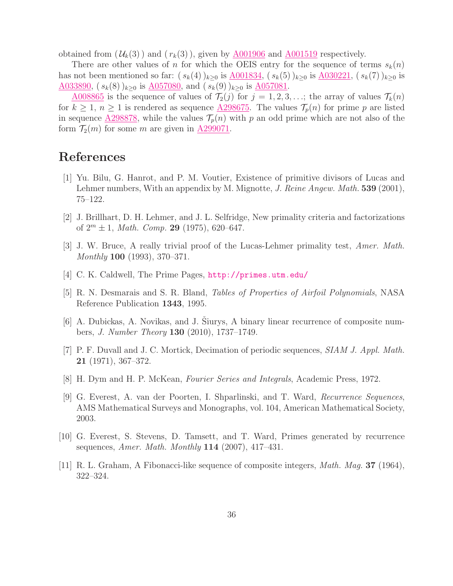obtained from  $(\mathcal{U}_k(3))$  and  $(r_k(3))$ , given by  $\underline{\text{A}001906}$  and  $\underline{\text{A}001519}$  respectively.

There are other values of n for which the OEIS entry for the sequence of terms  $s_k(n)$ has not been mentioned so far:  $(s_k(4))_{k\geq 0}$  is  $\underline{A001834}$ ,  $(s_k(5))_{k\geq 0}$  is  $\underline{A030221}$ ,  $(s_k(7))_{k\geq 0}$  is [A033890,](https://oeis.org/A033890)  $(s_k(8))_{k\geq 0}$  is  $\underline{A057080}$ , and  $(s_k(9))_{k\geq 0}$  is  $\underline{A057081}$ .

<u>[A008865](https://oeis.org/A008865)</u> is the sequence of values of  $\mathcal{T}_2(j)$  for  $j = 1, 2, 3, \ldots$ ; the array of values  $\mathcal{T}_k(n)$ for  $k \geq 1$ ,  $n \geq 1$  is rendered as sequence  $\triangle 298675$ . The values  $\mathcal{T}_p(n)$  for prime p are listed in sequence  $\underline{A298878}$ , while the values  $\mathcal{T}_p(n)$  with p an odd prime which are not also of the form  $\mathcal{T}_2(m)$  for some m are given in  $\underline{A299071}$ .

# <span id="page-35-2"></span>References

- [1] Yu. Bilu, G. Hanrot, and P. M. Voutier, Existence of primitive divisors of Lucas and Lehmer numbers, With an appendix by M. Mignotte, *J. Reine Angew. Math.* 539 (2001), 75–122.
- <span id="page-35-10"></span><span id="page-35-9"></span>[2] J. Brillhart, D. H. Lehmer, and J. L. Selfridge, New primality criteria and factorizations of  $2^m \pm 1$ , *Math. Comp.* **29** (1975), 620–647.
- <span id="page-35-8"></span>[3] J. W. Bruce, A really trivial proof of the Lucas-Lehmer primality test, *Amer. Math. Monthly* 100 (1993), 370–371.
- <span id="page-35-0"></span>[4] C. K. Caldwell, The Prime Pages, <http://primes.utm.edu/>
- <span id="page-35-5"></span>[5] R. N. Desmarais and S. R. Bland, *Tables of Properties of Airfoil Polynomials*, NASA Reference Publication 1343, 1995.
- [6] A. Dubickas, A. Novikas, and J. Šiurys, A binary linear recurrence of composite numbers, *J. Number Theory* 130 (2010), 1737–1749.
- <span id="page-35-7"></span>[7] P. F. Duvall and J. C. Mortick, Decimation of periodic sequences, *SIAM J. Appl. Math.* 21 (1971), 367–372.
- <span id="page-35-6"></span><span id="page-35-1"></span>[8] H. Dym and H. P. McKean, *Fourier Series and Integrals*, Academic Press, 1972.
- [9] G. Everest, A. van der Poorten, I. Shparlinski, and T. Ward, *Recurrence Sequences*, AMS Mathematical Surveys and Monographs, vol. 104, American Mathematical Society, 2003.
- <span id="page-35-3"></span>[10] G. Everest, S. Stevens, D. Tamsett, and T. Ward, Primes generated by recurrence sequences, *Amer. Math. Monthly* 114 (2007), 417–431.
- <span id="page-35-4"></span>[11] R. L. Graham, A Fibonacci-like sequence of composite integers, *Math. Mag.* 37 (1964), 322–324.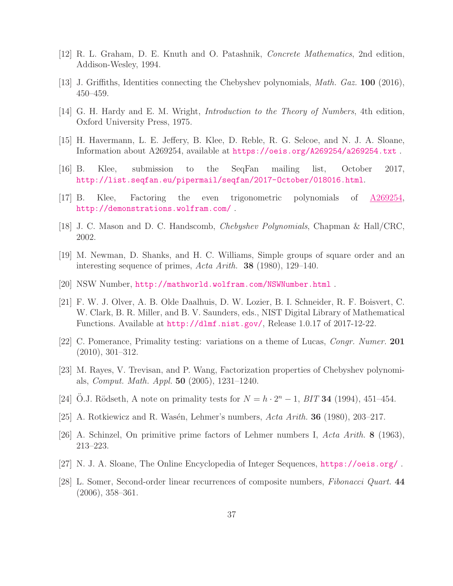- <span id="page-36-8"></span><span id="page-36-6"></span>[12] R. L. Graham, D. E. Knuth and O. Patashnik, *Concrete Mathematics*, 2nd edition, Addison-Wesley, 1994.
- <span id="page-36-13"></span>[13] J. Griffiths, Identities connecting the Chebyshev polynomials, *Math. Gaz.* 100 (2016), 450–459.
- <span id="page-36-10"></span>[14] G. H. Hardy and E. M. Wright, *Introduction to the Theory of Numbers*, 4th edition, Oxford University Press, 1975.
- <span id="page-36-9"></span>[15] H. Havermann, L. E. Jeffery, B. Klee, D. Reble, R. G. Selcoe, and N. J. A. Sloane, Information about A269254, available at <https://oeis.org/A269254/a269254.txt> .
- <span id="page-36-15"></span>[16] B. Klee, submission to the SeqFan mailing list, October 2017, <http://list.seqfan.eu/pipermail/seqfan/2017-October/018016.html>.
- <span id="page-36-0"></span>[17] B. Klee, Factoring the even trigonometric polynomials of [A269254,](https://oeis.org/A269254) <http://demonstrations.wolfram.com/> .
- <span id="page-36-4"></span>[18] J. C. Mason and D. C. Handscomb, *Chebyshev Polynomials*, Chapman & Hall/CRC, 2002.
- <span id="page-36-16"></span>[19] M. Newman, D. Shanks, and H. C. Williams, Simple groups of square order and an interesting sequence of primes, *Acta Arith.* 38 (1980), 129–140.
- <span id="page-36-7"></span>[20] NSW Number, <http://mathworld.wolfram.com/NSWNumber.html> .
- [21] F. W. J. Olver, A. B. Olde Daalhuis, D. W. Lozier, B. I. Schneider, R. F. Boisvert, C. W. Clark, B. R. Miller, and B. V. Saunders, eds., NIST Digital Library of Mathematical Functions. Available at [http://dlmf.nist.gov/](http://dlmf.nist.gov/ ), Release 1.0.17 of 2017-12-22.
- <span id="page-36-11"></span>[22] C. Pomerance, Primality testing: variations on a theme of Lucas, *Congr. Numer.* 201 (2010), 301–312.
- <span id="page-36-12"></span>[23] M. Rayes, V. Trevisan, and P. Wang, Factorization properties of Chebyshev polynomials, *Comput. Math. Appl.* 50 (2005), 1231–1240.
- <span id="page-36-14"></span><span id="page-36-2"></span>[24] Ö.J. Rödseth, A note on primality tests for  $N = h \cdot 2^{n} - 1$ , *BIT* **34** (1994), 451-454.
- <span id="page-36-3"></span> $[25]$  A. Rotkiewicz and R. Wasén, Lehmer's numbers, *Acta Arith.* **36** (1980), 203–217.
- <span id="page-36-1"></span>[26] A. Schinzel, On primitive prime factors of Lehmer numbers I, *Acta Arith.* 8 (1963), 213–223.
- <span id="page-36-5"></span>[27] N. J. A. Sloane, The Online Encyclopedia of Integer Sequences, <https://oeis.org/> .
- [28] L. Somer, Second-order linear recurrences of composite numbers, *Fibonacci Quart.* 44 (2006), 358–361.